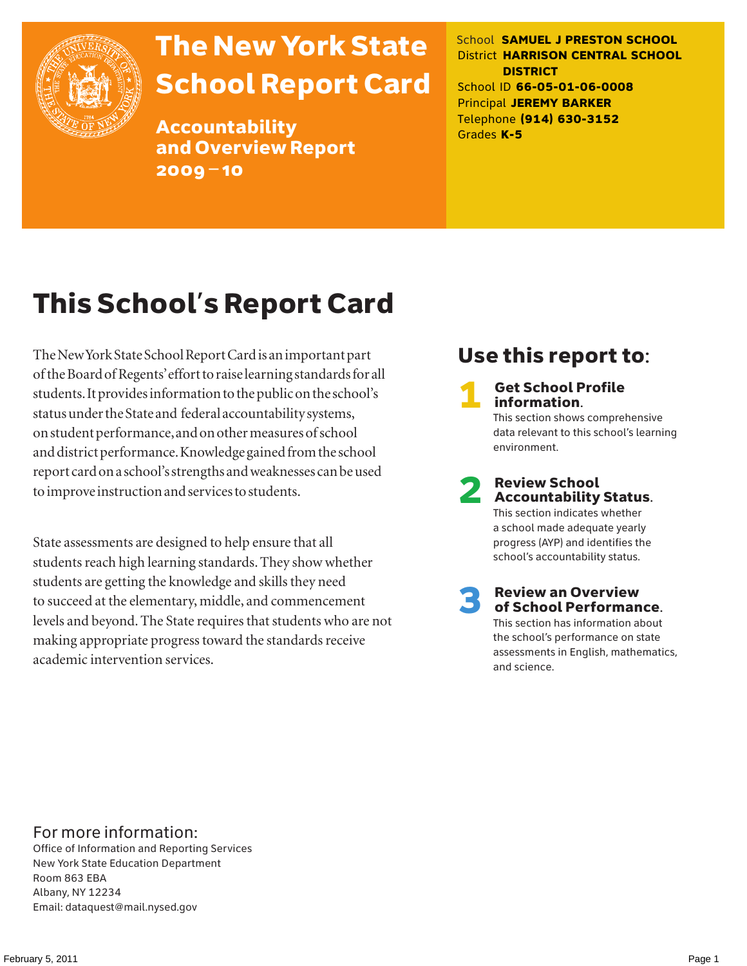

# The New York State School Report Card

Accountability and Overview Report 2009–10

School **SAMUEL J PRESTON SCHOOL** District **HARRISON CENTRAL SCHOOL DISTRICT** School ID **66-05-01-06-0008** Principal **JEREMY BARKER** Telephone **(914) 630-3152** Grades **K-5**

# This School's Report Card

The New York State School Report Card is an important part of the Board of Regents' effort to raise learning standards for all students. It provides information to the public on the school's status under the State and federal accountability systems, on student performance, and on other measures of school and district performance. Knowledge gained from the school report card on a school's strengths and weaknesses can be used to improve instruction and services to students.

State assessments are designed to help ensure that all students reach high learning standards. They show whether students are getting the knowledge and skills they need to succeed at the elementary, middle, and commencement levels and beyond. The State requires that students who are not making appropriate progress toward the standards receive academic intervention services.

## Use this report to:

**Get School Profile** information. This section shows comprehensive data relevant to this school's learning environment.

# 2 Review School Accountability Status.

This section indicates whether a school made adequate yearly progress (AYP) and identifies the school's accountability status.

3 Review an Overview of School Performance. This section has information about

the school's performance on state assessments in English, mathematics, and science.

### For more information:

Office of Information and Reporting Services New York State Education Department Room 863 EBA Albany, NY 12234 Email: dataquest@mail.nysed.gov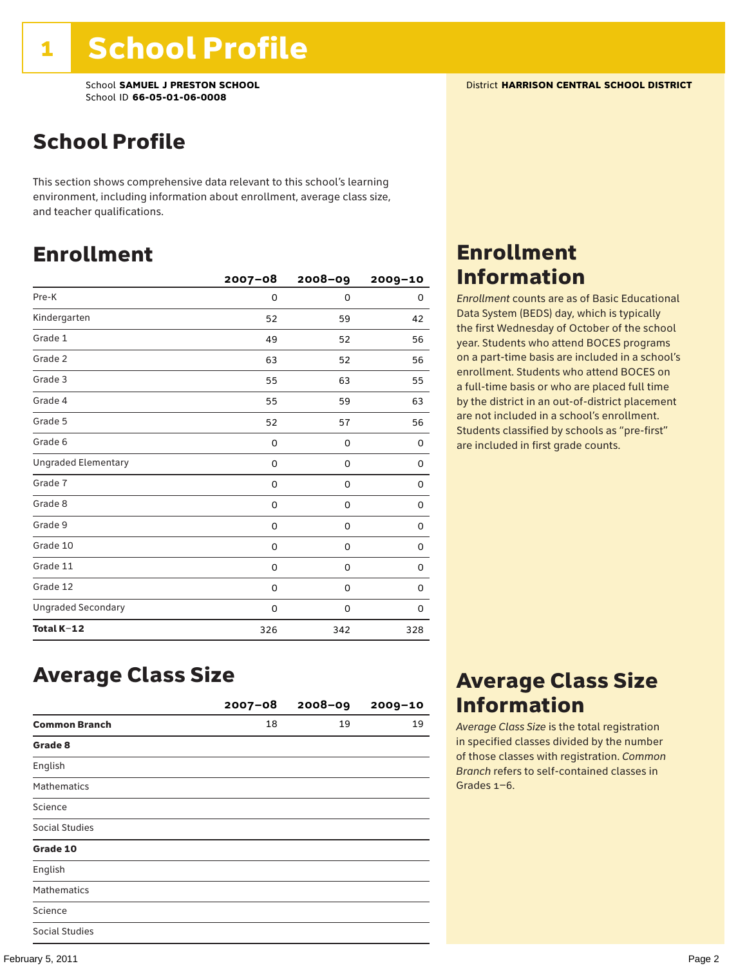School **SAMUEL J PRESTON SCHOOL** District **HARRISON CENTRAL SCHOOL DISTRICT** School ID **66-05-01-06-0008**

## School Profile

This section shows comprehensive data relevant to this school's learning environment, including information about enrollment, average class size, and teacher qualifications.

### Enrollment

|                            | $2007 - 08$ | 2008-09     | 2009-10 |
|----------------------------|-------------|-------------|---------|
| Pre-K                      | 0           | $\mathbf 0$ | 0       |
| Kindergarten               | 52          | 59          | 42      |
| Grade 1                    | 49          | 52          | 56      |
| Grade 2                    | 63          | 52          | 56      |
| Grade 3                    | 55          | 63          | 55      |
| Grade 4                    | 55          | 59          | 63      |
| Grade 5                    | 52          | 57          | 56      |
| Grade 6                    | 0           | 0           | 0       |
| <b>Ungraded Elementary</b> | 0           | 0           | 0       |
| Grade 7                    | 0           | 0           | 0       |
| Grade 8                    | 0           | 0           | 0       |
| Grade 9                    | 0           | 0           | 0       |
| Grade 10                   | 0           | 0           | 0       |
| Grade 11                   | 0           | 0           | 0       |
| Grade 12                   | 0           | 0           | 0       |
| <b>Ungraded Secondary</b>  | 0           | 0           | 0       |
| Total K-12                 | 326         | 342         | 328     |

## Enrollment Information

*Enrollment* counts are as of Basic Educational Data System (BEDS) day, which is typically the first Wednesday of October of the school year. Students who attend BOCES programs on a part-time basis are included in a school's enrollment. Students who attend BOCES on a full-time basis or who are placed full time by the district in an out-of-district placement are not included in a school's enrollment. Students classified by schools as "pre-first" are included in first grade counts.

### Average Class Size

|                      | $2007 - 08$ | 2008-09 | $2009 - 10$ |
|----------------------|-------------|---------|-------------|
| <b>Common Branch</b> | 18          | 19      | 19          |
| Grade 8              |             |         |             |
| English              |             |         |             |
| <b>Mathematics</b>   |             |         |             |
| Science              |             |         |             |
| Social Studies       |             |         |             |
| Grade 10             |             |         |             |
| English              |             |         |             |
| <b>Mathematics</b>   |             |         |             |
| Science              |             |         |             |
| Social Studies       |             |         |             |

### Average Class Size Information

*Average Class Size* is the total registration in specified classes divided by the number of those classes with registration. *Common Branch* refers to self-contained classes in Grades 1–6.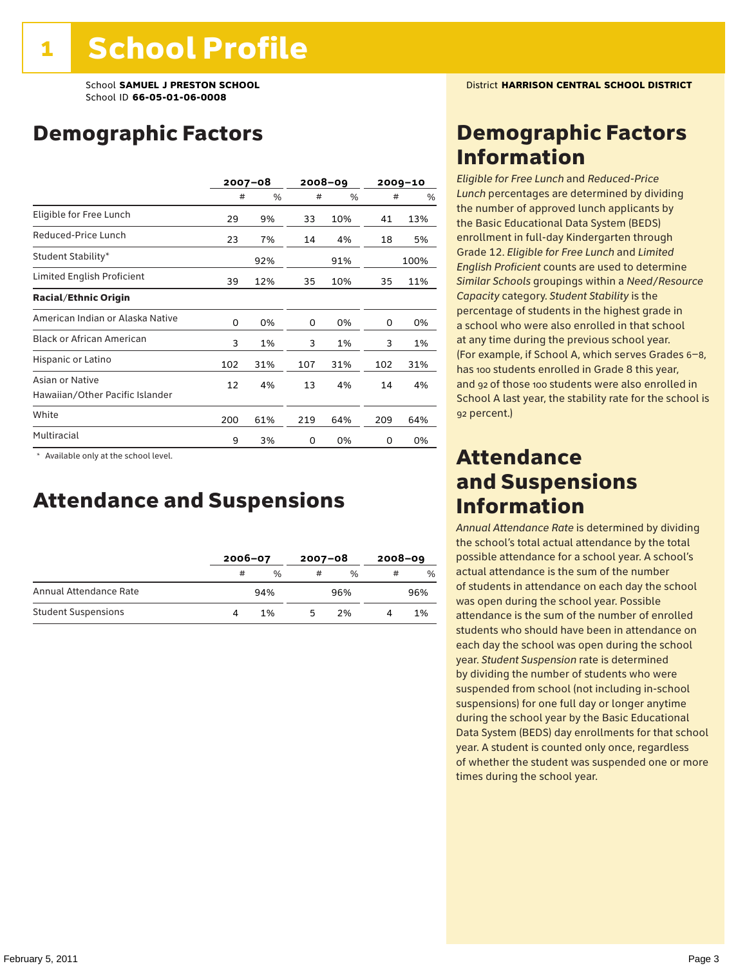## Demographic Factors

|                                                    | $2007 - 08$ |     | 2008-09 |     | $2009 - 10$ |      |
|----------------------------------------------------|-------------|-----|---------|-----|-------------|------|
|                                                    | #           | %   | #       | %   | #           | %    |
| Eligible for Free Lunch                            | 29          | 9%  | 33      | 10% | 41          | 13%  |
| Reduced-Price Lunch                                | 23          | 7%  | 14      | 4%  | 18          | 5%   |
| Student Stability*                                 |             | 92% |         | 91% |             | 100% |
| Limited English Proficient                         | 39          | 12% | 35      | 10% | 35          | 11%  |
| <b>Racial/Ethnic Origin</b>                        |             |     |         |     |             |      |
| American Indian or Alaska Native                   | 0           | 0%  | 0       | 0%  | 0           | 0%   |
| <b>Black or African American</b>                   | 3           | 1%  | 3       | 1%  | 3           | 1%   |
| Hispanic or Latino                                 | 102         | 31% | 107     | 31% | 102         | 31%  |
| Asian or Native<br>Hawaiian/Other Pacific Islander | 12          | 4%  | 13      | 4%  | 14          | 4%   |
| White                                              | 200         | 61% | 219     | 64% | 209         | 64%  |
| Multiracial                                        | 9           | 3%  | 0       | 0%  | 0           | 0%   |

 \* Available only at the school level.

### Attendance and Suspensions

|                            |   | $2006 - 07$   |    | $2007 - 08$   |   | $2008 - 09$ |  |
|----------------------------|---|---------------|----|---------------|---|-------------|--|
|                            | # | $\frac{0}{0}$ | #  | $\frac{0}{6}$ | # | $\%$        |  |
| Annual Attendance Rate     |   | 94%           |    | 96%           |   | 96%         |  |
| <b>Student Suspensions</b> |   | 1%            | 'n | 2%            |   | 1%          |  |

### Demographic Factors Information

*Eligible for Free Lunch* and *Reduced*-*Price Lunch* percentages are determined by dividing the number of approved lunch applicants by the Basic Educational Data System (BEDS) enrollment in full-day Kindergarten through Grade 12. *Eligible for Free Lunch* and *Limited English Proficient* counts are used to determine *Similar Schools* groupings within a *Need*/*Resource Capacity* category. *Student Stability* is the percentage of students in the highest grade in a school who were also enrolled in that school at any time during the previous school year. (For example, if School A, which serves Grades 6–8, has 100 students enrolled in Grade 8 this year, and 92 of those 100 students were also enrolled in School A last year, the stability rate for the school is 92 percent.)

### Attendance and Suspensions Information

*Annual Attendance Rate* is determined by dividing the school's total actual attendance by the total possible attendance for a school year. A school's actual attendance is the sum of the number of students in attendance on each day the school was open during the school year. Possible attendance is the sum of the number of enrolled students who should have been in attendance on each day the school was open during the school year. *Student Suspension* rate is determined by dividing the number of students who were suspended from school (not including in-school suspensions) for one full day or longer anytime during the school year by the Basic Educational Data System (BEDS) day enrollments for that school year. A student is counted only once, regardless of whether the student was suspended one or more times during the school year.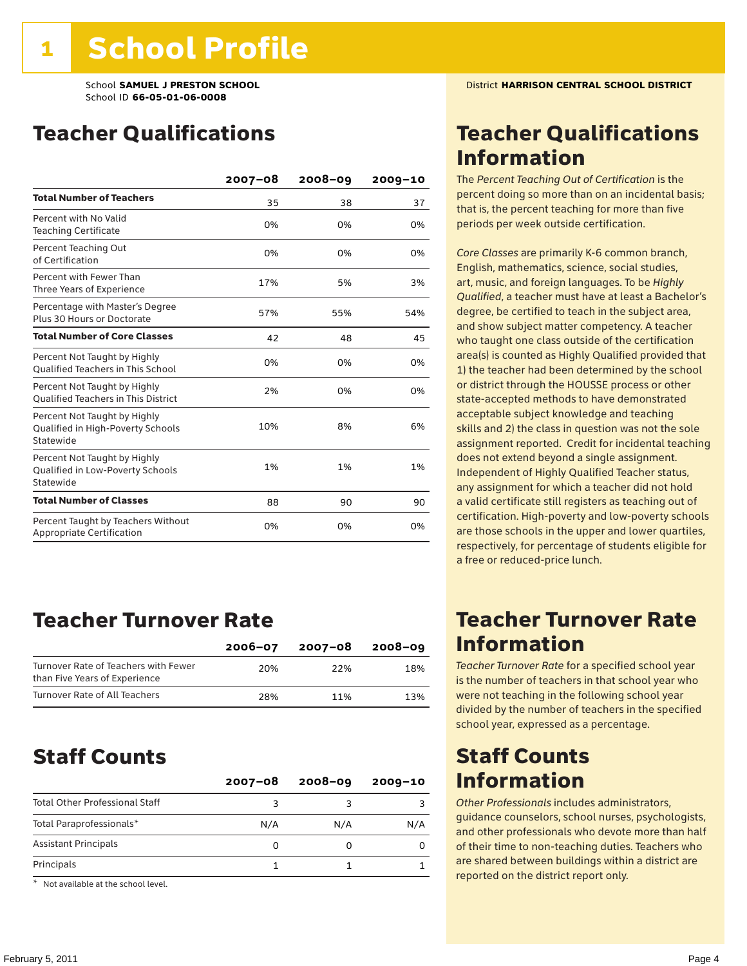## Teacher Qualifications

|                                                                                | $2007 - 08$ | $2008 - 09$ | $2009 - 10$ |
|--------------------------------------------------------------------------------|-------------|-------------|-------------|
| <b>Total Number of Teachers</b>                                                | 35          | 38          | 37          |
| Percent with No Valid<br><b>Teaching Certificate</b>                           | 0%          | 0%          | 0%          |
| Percent Teaching Out<br>of Certification                                       | 0%          | 0%          | 0%          |
| Percent with Fewer Than<br>Three Years of Experience                           | 17%         | 5%          | 3%          |
| Percentage with Master's Degree<br>Plus 30 Hours or Doctorate                  | 57%         | 55%         | 54%         |
| <b>Total Number of Core Classes</b>                                            | 42          | 48          | 45          |
| Percent Not Taught by Highly<br><b>Qualified Teachers in This School</b>       | 0%          | 0%          | 0%          |
| Percent Not Taught by Highly<br><b>Oualified Teachers in This District</b>     | 2%          | 0%          | 0%          |
| Percent Not Taught by Highly<br>Qualified in High-Poverty Schools<br>Statewide | 10%         | 8%          | 6%          |
| Percent Not Taught by Highly<br>Qualified in Low-Poverty Schools<br>Statewide  | 1%          | 1%          | 1%          |
| <b>Total Number of Classes</b>                                                 | 88          | 90          | 90          |
| Percent Taught by Teachers Without<br>Appropriate Certification                | 0%          | 0%          | 0%          |

### Teacher Turnover Rate

|                                                                       | $2006 - 07$ | 2007-08 | 2008-09 |
|-----------------------------------------------------------------------|-------------|---------|---------|
| Turnover Rate of Teachers with Fewer<br>than Five Years of Experience | 20%         | 22%     | 18%     |
| Turnover Rate of All Teachers                                         | 28%         | 11%     | 13%     |

### Staff Counts

|                                       | $2007 - 08$ | $2008 - 09$ | $2009 - 10$ |
|---------------------------------------|-------------|-------------|-------------|
| <b>Total Other Professional Staff</b> | ٩           |             |             |
| Total Paraprofessionals*              | N/A         | N/A         | N/A         |
| <b>Assistant Principals</b>           | Ω           |             |             |
| Principals                            |             |             |             |

\* Not available at the school level.

### Teacher Qualifications Information

The *Percent Teaching Out of Certification* is the percent doing so more than on an incidental basis; that is, the percent teaching for more than five periods per week outside certification.

*Core Classes* are primarily K-6 common branch, English, mathematics, science, social studies, art, music, and foreign languages. To be *Highly Qualified*, a teacher must have at least a Bachelor's degree, be certified to teach in the subject area, and show subject matter competency. A teacher who taught one class outside of the certification area(s) is counted as Highly Qualified provided that 1) the teacher had been determined by the school or district through the HOUSSE process or other state-accepted methods to have demonstrated acceptable subject knowledge and teaching skills and 2) the class in question was not the sole assignment reported. Credit for incidental teaching does not extend beyond a single assignment. Independent of Highly Qualified Teacher status, any assignment for which a teacher did not hold a valid certificate still registers as teaching out of certification. High-poverty and low-poverty schools are those schools in the upper and lower quartiles, respectively, for percentage of students eligible for a free or reduced-price lunch.

### Teacher Turnover Rate Information

*Teacher Turnover Rate* for a specified school year is the number of teachers in that school year who were not teaching in the following school year divided by the number of teachers in the specified school year, expressed as a percentage.

### Staff Counts Information

*Other Professionals* includes administrators, guidance counselors, school nurses, psychologists, and other professionals who devote more than half of their time to non-teaching duties. Teachers who are shared between buildings within a district are reported on the district report only.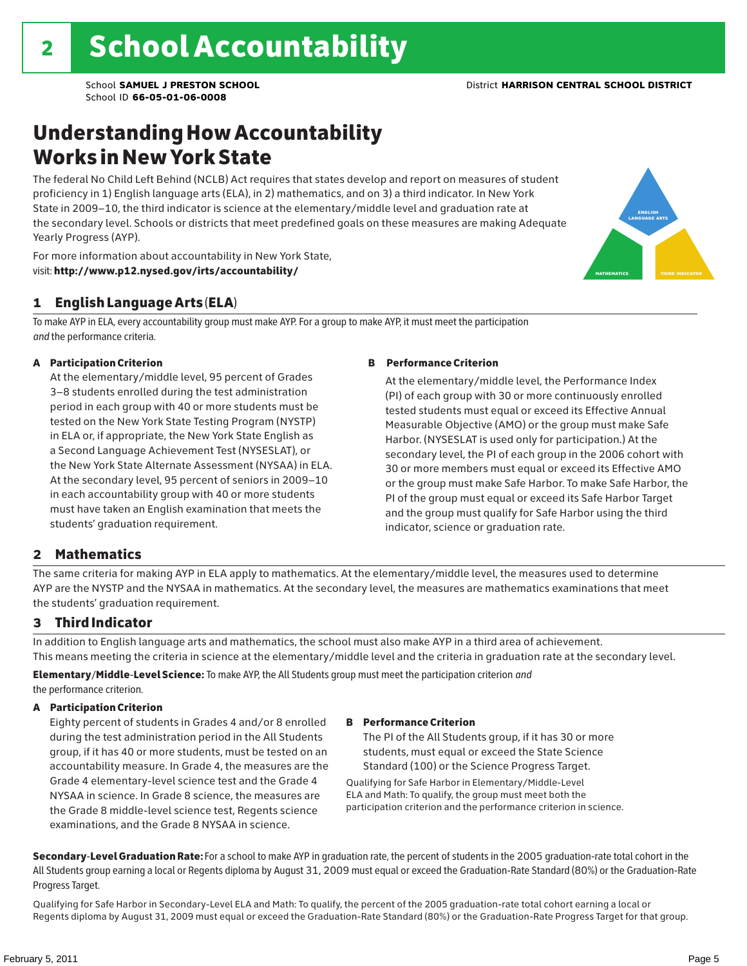english language arts

MATHEMATICS THIRD INDICATOR

## Understanding How Accountability Works in New York State

The federal No Child Left Behind (NCLB) Act requires that states develop and report on measures of student proficiency in 1) English language arts (ELA), in 2) mathematics, and on 3) a third indicator. In New York State in 2009–10, the third indicator is science at the elementary/middle level and graduation rate at the secondary level. Schools or districts that meet predefined goals on these measures are making Adequate Yearly Progress (AYP).



#### 1 English Language Arts (ELA)

To make AYP in ELA, every accountability group must make AYP. For a group to make AYP, it must meet the participation *and* the performance criteria.

#### A Participation Criterion

At the elementary/middle level, 95 percent of Grades 3–8 students enrolled during the test administration period in each group with 40 or more students must be tested on the New York State Testing Program (NYSTP) in ELA or, if appropriate, the New York State English as a Second Language Achievement Test (NYSESLAT), or the New York State Alternate Assessment (NYSAA) in ELA. At the secondary level, 95 percent of seniors in 2009–10 in each accountability group with 40 or more students must have taken an English examination that meets the students' graduation requirement.

#### B Performance Criterion

At the elementary/middle level, the Performance Index (PI) of each group with 30 or more continuously enrolled tested students must equal or exceed its Effective Annual Measurable Objective (AMO) or the group must make Safe Harbor. (NYSESLAT is used only for participation.) At the secondary level, the PI of each group in the 2006 cohort with 30 or more members must equal or exceed its Effective AMO or the group must make Safe Harbor. To make Safe Harbor, the PI of the group must equal or exceed its Safe Harbor Target and the group must qualify for Safe Harbor using the third indicator, science or graduation rate.

#### 2 Mathematics

The same criteria for making AYP in ELA apply to mathematics. At the elementary/middle level, the measures used to determine AYP are the NYSTP and the NYSAA in mathematics. At the secondary level, the measures are mathematics examinations that meet the students' graduation requirement.

#### 3 Third Indicator

In addition to English language arts and mathematics, the school must also make AYP in a third area of achievement. This means meeting the criteria in science at the elementary/middle level and the criteria in graduation rate at the secondary level.

Elementary/Middle-Level Science: To make AYP, the All Students group must meet the participation criterion *and* the performance criterion.

#### A Participation Criterion

Eighty percent of students in Grades 4 and/or 8 enrolled during the test administration period in the All Students group, if it has 40 or more students, must be tested on an accountability measure. In Grade 4, the measures are the Grade 4 elementary-level science test and the Grade 4 NYSAA in science. In Grade 8 science, the measures are the Grade 8 middle-level science test, Regents science examinations, and the Grade 8 NYSAA in science.

#### B Performance Criterion

The PI of the All Students group, if it has 30 or more students, must equal or exceed the State Science Standard (100) or the Science Progress Target.

Qualifying for Safe Harbor in Elementary/Middle-Level ELA and Math: To qualify, the group must meet both the participation criterion and the performance criterion in science.

Secondary-Level Graduation Rate: For a school to make AYP in graduation rate, the percent of students in the 2005 graduation-rate total cohort in the All Students group earning a local or Regents diploma by August 31, 2009 must equal or exceed the Graduation-Rate Standard (80%) or the Graduation-Rate Progress Target.

Qualifying for Safe Harbor in Secondary-Level ELA and Math: To qualify, the percent of the 2005 graduation-rate total cohort earning a local or Regents diploma by August 31, 2009 must equal or exceed the Graduation-Rate Standard (80%) or the Graduation-Rate Progress Target for that group.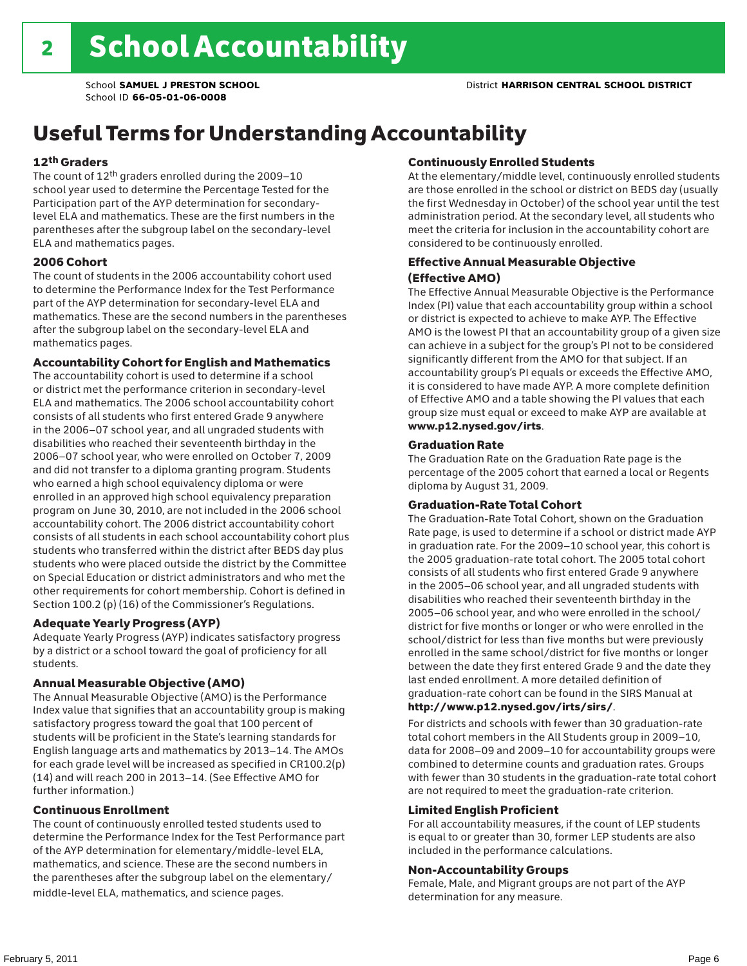## Useful Terms for Understanding Accountability

#### 12th Graders

The count of 12th graders enrolled during the 2009–10 school year used to determine the Percentage Tested for the Participation part of the AYP determination for secondarylevel ELA and mathematics. These are the first numbers in the parentheses after the subgroup label on the secondary-level ELA and mathematics pages.

#### 2006 Cohort

The count of students in the 2006 accountability cohort used to determine the Performance Index for the Test Performance part of the AYP determination for secondary-level ELA and mathematics. These are the second numbers in the parentheses after the subgroup label on the secondary-level ELA and mathematics pages.

#### Accountability Cohort for English and Mathematics

The accountability cohort is used to determine if a school or district met the performance criterion in secondary-level ELA and mathematics. The 2006 school accountability cohort consists of all students who first entered Grade 9 anywhere in the 2006–07 school year, and all ungraded students with disabilities who reached their seventeenth birthday in the 2006–07 school year, who were enrolled on October 7, 2009 and did not transfer to a diploma granting program. Students who earned a high school equivalency diploma or were enrolled in an approved high school equivalency preparation program on June 30, 2010, are not included in the 2006 school accountability cohort. The 2006 district accountability cohort consists of all students in each school accountability cohort plus students who transferred within the district after BEDS day plus students who were placed outside the district by the Committee on Special Education or district administrators and who met the other requirements for cohort membership. Cohort is defined in Section 100.2 (p) (16) of the Commissioner's Regulations.

#### Adequate Yearly Progress (AYP)

Adequate Yearly Progress (AYP) indicates satisfactory progress by a district or a school toward the goal of proficiency for all students.

#### Annual Measurable Objective (AMO)

The Annual Measurable Objective (AMO) is the Performance Index value that signifies that an accountability group is making satisfactory progress toward the goal that 100 percent of students will be proficient in the State's learning standards for English language arts and mathematics by 2013–14. The AMOs for each grade level will be increased as specified in CR100.2(p) (14) and will reach 200 in 2013–14. (See Effective AMO for further information.)

#### Continuous Enrollment

The count of continuously enrolled tested students used to determine the Performance Index for the Test Performance part of the AYP determination for elementary/middle-level ELA, mathematics, and science. These are the second numbers in the parentheses after the subgroup label on the elementary/ middle-level ELA, mathematics, and science pages.

#### Continuously Enrolled Students

At the elementary/middle level, continuously enrolled students are those enrolled in the school or district on BEDS day (usually the first Wednesday in October) of the school year until the test administration period. At the secondary level, all students who meet the criteria for inclusion in the accountability cohort are considered to be continuously enrolled.

#### Effective Annual Measurable Objective (Effective AMO)

The Effective Annual Measurable Objective is the Performance Index (PI) value that each accountability group within a school or district is expected to achieve to make AYP. The Effective AMO is the lowest PI that an accountability group of a given size can achieve in a subject for the group's PI not to be considered significantly different from the AMO for that subject. If an accountability group's PI equals or exceeds the Effective AMO, it is considered to have made AYP. A more complete definition of Effective AMO and a table showing the PI values that each group size must equal or exceed to make AYP are available at www.p12.nysed.gov/irts.

#### Graduation Rate

The Graduation Rate on the Graduation Rate page is the percentage of the 2005 cohort that earned a local or Regents diploma by August 31, 2009.

#### Graduation-Rate Total Cohort

The Graduation-Rate Total Cohort, shown on the Graduation Rate page, is used to determine if a school or district made AYP in graduation rate. For the 2009–10 school year, this cohort is the 2005 graduation-rate total cohort. The 2005 total cohort consists of all students who first entered Grade 9 anywhere in the 2005–06 school year, and all ungraded students with disabilities who reached their seventeenth birthday in the 2005–06 school year, and who were enrolled in the school/ district for five months or longer or who were enrolled in the school/district for less than five months but were previously enrolled in the same school/district for five months or longer between the date they first entered Grade 9 and the date they last ended enrollment. A more detailed definition of graduation-rate cohort can be found in the SIRS Manual at

#### http://www.p12.nysed.gov/irts/sirs/.

For districts and schools with fewer than 30 graduation-rate total cohort members in the All Students group in 2009–10, data for 2008–09 and 2009–10 for accountability groups were combined to determine counts and graduation rates. Groups with fewer than 30 students in the graduation-rate total cohort are not required to meet the graduation-rate criterion.

#### Limited English Proficient

For all accountability measures, if the count of LEP students is equal to or greater than 30, former LEP students are also included in the performance calculations.

#### Non-Accountability Groups

Female, Male, and Migrant groups are not part of the AYP determination for any measure.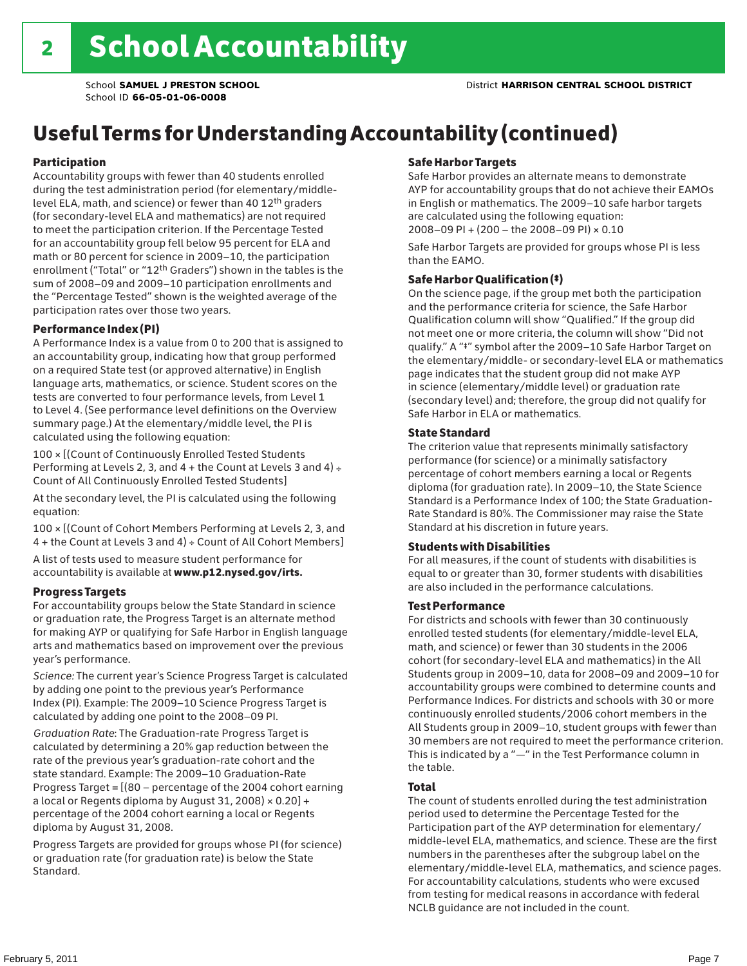## Useful Terms for Understanding Accountability (continued)

#### Participation

Accountability groups with fewer than 40 students enrolled during the test administration period (for elementary/middlelevel ELA, math, and science) or fewer than 40 12th graders (for secondary-level ELA and mathematics) are not required to meet the participation criterion. If the Percentage Tested for an accountability group fell below 95 percent for ELA and math or 80 percent for science in 2009–10, the participation enrollment ("Total" or "12th Graders") shown in the tables is the sum of 2008–09 and 2009–10 participation enrollments and the "Percentage Tested" shown is the weighted average of the participation rates over those two years.

#### Performance Index (PI)

A Performance Index is a value from 0 to 200 that is assigned to an accountability group, indicating how that group performed on a required State test (or approved alternative) in English language arts, mathematics, or science. Student scores on the tests are converted to four performance levels, from Level 1 to Level 4. (See performance level definitions on the Overview summary page.) At the elementary/middle level, the PI is calculated using the following equation:

100 × [(Count of Continuously Enrolled Tested Students Performing at Levels 2, 3, and  $4 +$  the Count at Levels 3 and  $4) \div$ Count of All Continuously Enrolled Tested Students]

At the secondary level, the PI is calculated using the following equation:

100 × [(Count of Cohort Members Performing at Levels 2, 3, and 4 + the Count at Levels 3 and 4) ÷ Count of All Cohort Members]

A list of tests used to measure student performance for accountability is available at www.p12.nysed.gov/irts.

#### Progress Targets

For accountability groups below the State Standard in science or graduation rate, the Progress Target is an alternate method for making AYP or qualifying for Safe Harbor in English language arts and mathematics based on improvement over the previous year's performance.

*Science:* The current year's Science Progress Target is calculated by adding one point to the previous year's Performance Index (PI). Example: The 2009–10 Science Progress Target is calculated by adding one point to the 2008–09 PI.

*Graduation Rate*: The Graduation-rate Progress Target is calculated by determining a 20% gap reduction between the rate of the previous year's graduation-rate cohort and the state standard. Example: The 2009–10 Graduation-Rate Progress Target = [(80 – percentage of the 2004 cohort earning a local or Regents diploma by August 31, 2008)  $\times$  0.20] + percentage of the 2004 cohort earning a local or Regents diploma by August 31, 2008.

Progress Targets are provided for groups whose PI (for science) or graduation rate (for graduation rate) is below the State Standard.

#### Safe Harbor Targets

Safe Harbor provides an alternate means to demonstrate AYP for accountability groups that do not achieve their EAMOs in English or mathematics. The 2009–10 safe harbor targets are calculated using the following equation: 2008–09 PI + (200 – the 2008–09 PI) × 0.10

Safe Harbor Targets are provided for groups whose PI is less than the EAMO.

#### Safe Harbor Qualification (‡)

On the science page, if the group met both the participation and the performance criteria for science, the Safe Harbor Qualification column will show "Qualified." If the group did not meet one or more criteria, the column will show "Did not qualify." A "‡" symbol after the 2009–10 Safe Harbor Target on the elementary/middle- or secondary-level ELA or mathematics page indicates that the student group did not make AYP in science (elementary/middle level) or graduation rate (secondary level) and; therefore, the group did not qualify for Safe Harbor in ELA or mathematics.

#### State Standard

The criterion value that represents minimally satisfactory performance (for science) or a minimally satisfactory percentage of cohort members earning a local or Regents diploma (for graduation rate). In 2009–10, the State Science Standard is a Performance Index of 100; the State Graduation-Rate Standard is 80%. The Commissioner may raise the State Standard at his discretion in future years.

#### Students with Disabilities

For all measures, if the count of students with disabilities is equal to or greater than 30, former students with disabilities are also included in the performance calculations.

#### Test Performance

For districts and schools with fewer than 30 continuously enrolled tested students (for elementary/middle-level ELA, math, and science) or fewer than 30 students in the 2006 cohort (for secondary-level ELA and mathematics) in the All Students group in 2009–10, data for 2008–09 and 2009–10 for accountability groups were combined to determine counts and Performance Indices. For districts and schools with 30 or more continuously enrolled students/2006 cohort members in the All Students group in 2009–10, student groups with fewer than 30 members are not required to meet the performance criterion. This is indicated by a "—" in the Test Performance column in the table.

#### Total

The count of students enrolled during the test administration period used to determine the Percentage Tested for the Participation part of the AYP determination for elementary/ middle-level ELA, mathematics, and science. These are the first numbers in the parentheses after the subgroup label on the elementary/middle-level ELA, mathematics, and science pages. For accountability calculations, students who were excused from testing for medical reasons in accordance with federal NCLB guidance are not included in the count.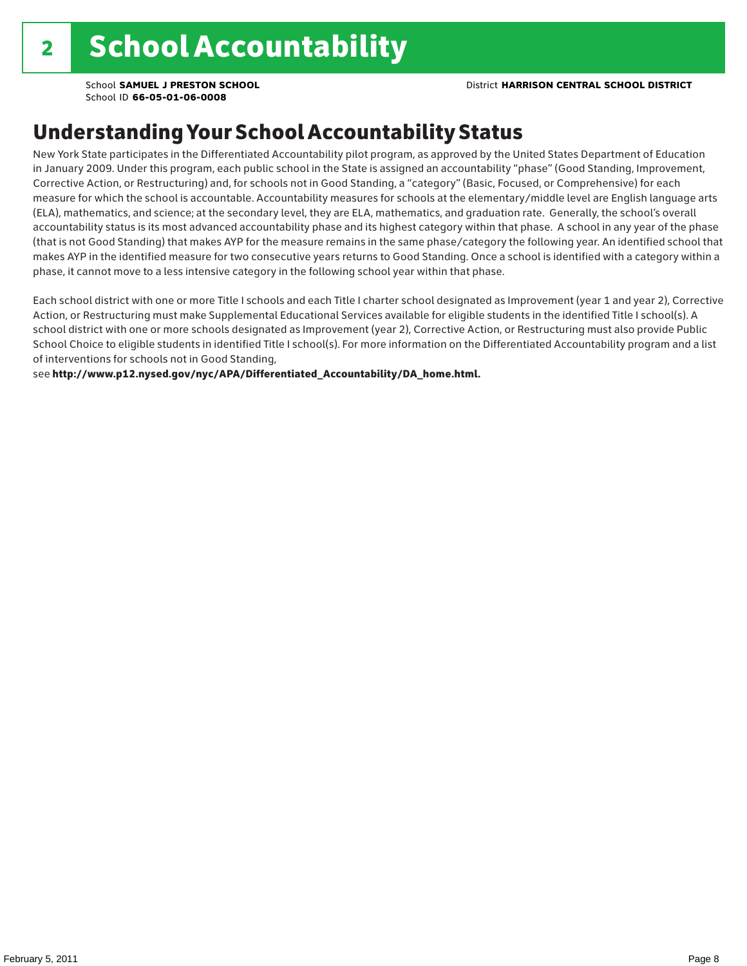### Understanding Your School Accountability Status

New York State participates in the Differentiated Accountability pilot program, as approved by the United States Department of Education in January 2009. Under this program, each public school in the State is assigned an accountability "phase" (Good Standing, Improvement, Corrective Action, or Restructuring) and, for schools not in Good Standing, a "category" (Basic, Focused, or Comprehensive) for each measure for which the school is accountable. Accountability measures for schools at the elementary/middle level are English language arts (ELA), mathematics, and science; at the secondary level, they are ELA, mathematics, and graduation rate. Generally, the school's overall accountability status is its most advanced accountability phase and its highest category within that phase. A school in any year of the phase (that is not Good Standing) that makes AYP for the measure remains in the same phase/category the following year. An identified school that makes AYP in the identified measure for two consecutive years returns to Good Standing. Once a school is identified with a category within a phase, it cannot move to a less intensive category in the following school year within that phase.

Each school district with one or more Title I schools and each Title I charter school designated as Improvement (year 1 and year 2), Corrective Action, or Restructuring must make Supplemental Educational Services available for eligible students in the identified Title I school(s). A school district with one or more schools designated as Improvement (year 2), Corrective Action, or Restructuring must also provide Public School Choice to eligible students in identified Title I school(s). For more information on the Differentiated Accountability program and a list of interventions for schools not in Good Standing,

see http://www.p12.nysed.gov/nyc/APA/Differentiated\_Accountability/DA\_home.html.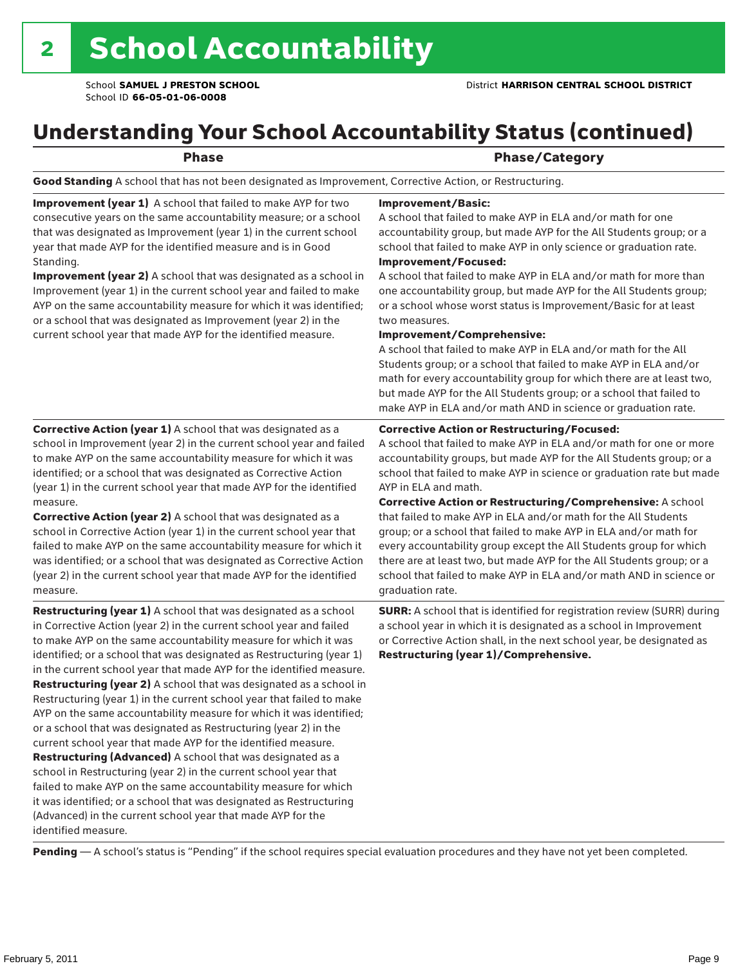## Understanding Your School Accountability Status (continued)

#### Phase **Phase** Phase/Category

Good Standing A school that has not been designated as Improvement, Corrective Action, or Restructuring.

Improvement (year 1) A school that failed to make AYP for two consecutive years on the same accountability measure; or a school that was designated as Improvement (year 1) in the current school year that made AYP for the identified measure and is in Good Standing.

Improvement (year 2) A school that was designated as a school in Improvement (year 1) in the current school year and failed to make AYP on the same accountability measure for which it was identified; or a school that was designated as Improvement (year 2) in the current school year that made AYP for the identified measure.

Corrective Action (year 1) A school that was designated as a school in Improvement (year 2) in the current school year and failed to make AYP on the same accountability measure for which it was identified; or a school that was designated as Corrective Action (year 1) in the current school year that made AYP for the identified

#### Improvement/Basic:

A school that failed to make AYP in ELA and/or math for one accountability group, but made AYP for the All Students group; or a school that failed to make AYP in only science or graduation rate. Improvement/Focused:

A school that failed to make AYP in ELA and/or math for more than one accountability group, but made AYP for the All Students group; or a school whose worst status is Improvement/Basic for at least two measures.

#### Improvement/Comprehensive:

A school that failed to make AYP in ELA and/or math for the All Students group; or a school that failed to make AYP in ELA and/or math for every accountability group for which there are at least two, but made AYP for the All Students group; or a school that failed to make AYP in ELA and/or math AND in science or graduation rate.

#### Corrective Action or Restructuring/Focused:

A school that failed to make AYP in ELA and/or math for one or more accountability groups, but made AYP for the All Students group; or a school that failed to make AYP in science or graduation rate but made AYP in ELA and math.

measure. Corrective Action (year 2) A school that was designated as a school in Corrective Action (year 1) in the current school year that failed to make AYP on the same accountability measure for which it was identified; or a school that was designated as Corrective Action (year 2) in the current school year that made AYP for the identified measure.

Restructuring (year 1) A school that was designated as a school in Corrective Action (year 2) in the current school year and failed to make AYP on the same accountability measure for which it was identified; or a school that was designated as Restructuring (year 1) in the current school year that made AYP for the identified measure. Restructuring (year 2) A school that was designated as a school in Restructuring (year 1) in the current school year that failed to make AYP on the same accountability measure for which it was identified; or a school that was designated as Restructuring (year 2) in the current school year that made AYP for the identified measure. Restructuring (Advanced) A school that was designated as a school in Restructuring (year 2) in the current school year that failed to make AYP on the same accountability measure for which it was identified; or a school that was designated as Restructuring (Advanced) in the current school year that made AYP for the identified measure.

Corrective Action or Restructuring/Comprehensive: A school that failed to make AYP in ELA and/or math for the All Students group; or a school that failed to make AYP in ELA and/or math for every accountability group except the All Students group for which there are at least two, but made AYP for the All Students group; or a school that failed to make AYP in ELA and/or math AND in science or graduation rate.

SURR: A school that is identified for registration review (SURR) during a school year in which it is designated as a school in Improvement or Corrective Action shall, in the next school year, be designated as Restructuring (year 1)/Comprehensive.

Pending - A school's status is "Pending" if the school requires special evaluation procedures and they have not yet been completed.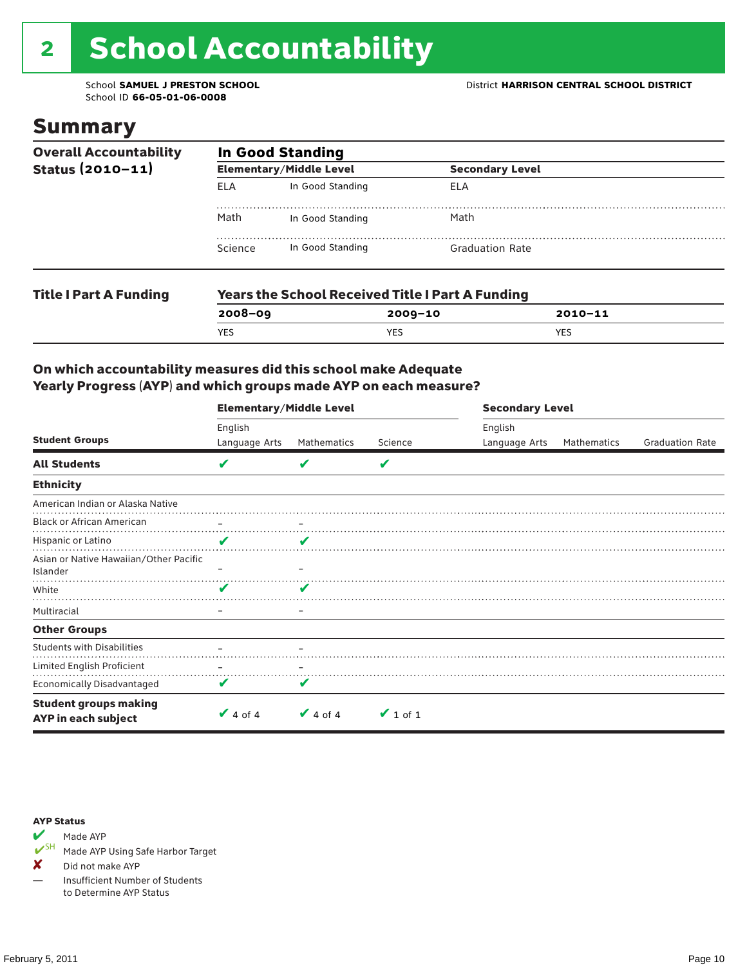# 2 School Accountability

School ID **66-05-01-06-0008**

### Summary

| <b>Overall Accountability</b><br>Status $(2010 - 11)$ | <b>In Good Standing</b> |                                                         |                        |  |  |  |
|-------------------------------------------------------|-------------------------|---------------------------------------------------------|------------------------|--|--|--|
|                                                       |                         | <b>Elementary/Middle Level</b>                          | <b>Secondary Level</b> |  |  |  |
|                                                       | FI A                    | In Good Standing                                        | ELA                    |  |  |  |
|                                                       | Math                    | In Good Standing                                        | Math                   |  |  |  |
|                                                       | Science                 | In Good Standing                                        | <b>Graduation Rate</b> |  |  |  |
| <b>Title I Part A Funding</b>                         |                         | <b>Years the School Received Title I Part A Funding</b> |                        |  |  |  |

**2008–09 2009–10 2010–11**

YES YES YES

### On which accountability measures did this school make Adequate Yearly Progress (AYP) and which groups made AYP on each measure?

|                                                     | <b>Elementary/Middle Level</b> |                         |               | <b>Secondary Level</b>   |             |                        |  |
|-----------------------------------------------------|--------------------------------|-------------------------|---------------|--------------------------|-------------|------------------------|--|
| <b>Student Groups</b>                               | English<br>Language Arts       | Mathematics             | Science       | English<br>Language Arts | Mathematics | <b>Graduation Rate</b> |  |
| <b>All Students</b>                                 | V                              |                         | V             |                          |             |                        |  |
| <b>Ethnicity</b>                                    |                                |                         |               |                          |             |                        |  |
| American Indian or Alaska Native                    |                                |                         |               |                          |             |                        |  |
| <b>Black or African American</b>                    |                                |                         |               |                          |             |                        |  |
| Hispanic or Latino                                  | ✔                              | $\overline{\mathbf{z}}$ |               |                          |             |                        |  |
| Asian or Native Hawaiian/Other Pacific<br>Islander  |                                |                         |               |                          |             |                        |  |
| White                                               | V                              | V                       |               |                          |             |                        |  |
| Multiracial                                         |                                |                         |               |                          |             |                        |  |
| <b>Other Groups</b>                                 |                                |                         |               |                          |             |                        |  |
| <b>Students with Disabilities</b>                   |                                |                         |               |                          |             |                        |  |
| Limited English Proficient                          |                                |                         |               |                          |             |                        |  |
| Economically Disadvantaged                          | V                              |                         |               |                          |             |                        |  |
| <b>Student groups making</b><br>AYP in each subject | $\vee$ 4 of 4                  | $\vee$ 4 of 4           | $\vee$ 1 of 1 |                          |             |                        |  |

#### AYP Status



Made AYP Using Safe Harbor Target

✘ Did not make AYP

— Insufficient Number of Students to Determine AYP Status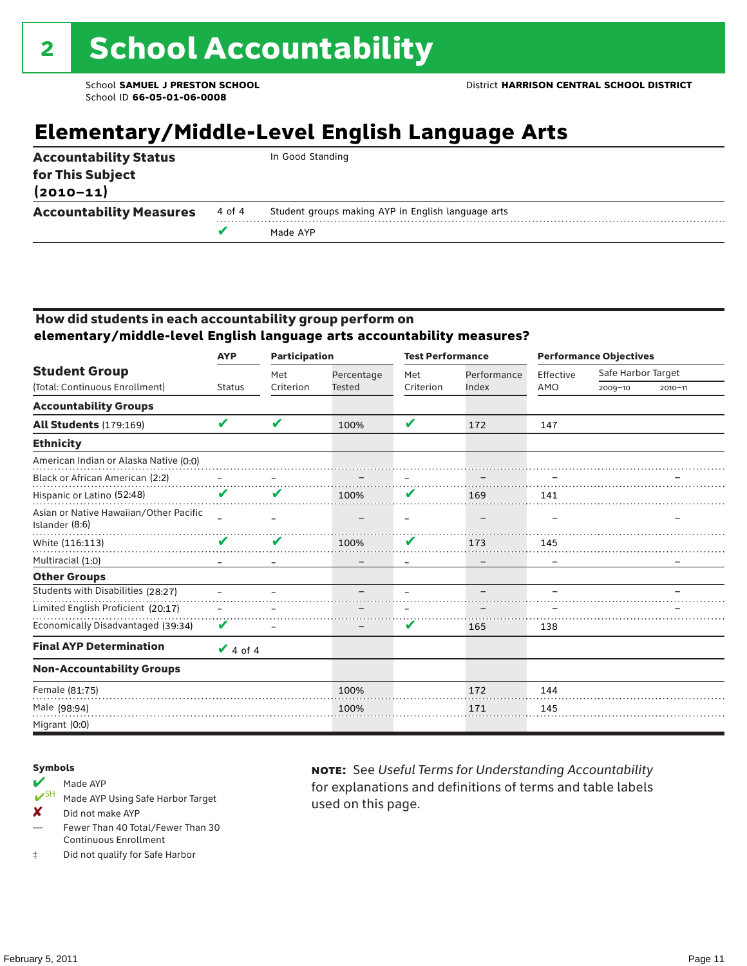## **Elementary/Middle-Level English Language Arts**

| <b>Accountability Status</b><br>for This Subject |        | In Good Standing                                   |
|--------------------------------------------------|--------|----------------------------------------------------|
| $(2010 - 11)$                                    |        |                                                    |
| <b>Accountability Measures</b>                   | 4 of 4 | Student groups making AYP in English language arts |
|                                                  |        | Made AYP                                           |

#### How did students in each accountability group perform on **elementary/middle-level English language arts accountability measures?**

|                                                          | <b>Participation</b><br><b>AYP</b> |           | <b>Test Performance</b> |                            | <b>Performance Objectives</b> |           |                    |             |
|----------------------------------------------------------|------------------------------------|-----------|-------------------------|----------------------------|-------------------------------|-----------|--------------------|-------------|
| <b>Student Group</b>                                     |                                    | Met       | Percentage              | Met                        | Performance                   | Effective | Safe Harbor Target |             |
| (Total: Continuous Enrollment)                           | <b>Status</b>                      | Criterion | <b>Tested</b>           | Criterion                  | Index                         | AMO       | $2009 - 10$        | $2010 - 11$ |
| <b>Accountability Groups</b>                             |                                    |           |                         |                            |                               |           |                    |             |
| <b>All Students (179:169)</b>                            | V                                  | V         | 100%                    | $\boldsymbol{\mathcal{L}}$ | 172                           | 147       |                    |             |
| <b>Ethnicity</b>                                         |                                    |           |                         |                            |                               |           |                    |             |
| American Indian or Alaska Native (0:0)                   |                                    |           |                         |                            |                               |           |                    |             |
| Black or African American (2:2)                          |                                    |           |                         |                            |                               |           |                    |             |
| Hispanic or Latino (52:48)                               | V                                  |           | 100%                    |                            | 169                           | 141       |                    |             |
| Asian or Native Hawaiian/Other Pacific<br>Islander (8:6) |                                    |           |                         |                            |                               |           |                    |             |
| White (116:113)                                          | V                                  | V         | 100%                    | V                          | 173                           | 145       |                    |             |
| Multiracial (1:0)                                        |                                    |           |                         |                            |                               |           |                    |             |
| <b>Other Groups</b>                                      |                                    |           |                         |                            |                               |           |                    |             |
| Students with Disabilities (28:27)                       |                                    |           |                         |                            |                               |           |                    |             |
| Limited English Proficient (20:17)                       |                                    |           |                         |                            |                               |           |                    |             |
| Economically Disadvantaged (39:34)                       | V                                  |           |                         | V                          | 165                           | 138       |                    |             |
| <b>Final AYP Determination</b>                           | $\vee$ 4 of 4                      |           |                         |                            |                               |           |                    |             |
| <b>Non-Accountability Groups</b>                         |                                    |           |                         |                            |                               |           |                    |             |
| Female (81:75)                                           |                                    |           | 100%                    |                            | 172                           | 144       |                    |             |
| Male (98:94)                                             |                                    |           | 100%                    |                            | 171                           | 145       |                    |             |
| Migrant (0:0)                                            |                                    |           |                         |                            |                               |           |                    |             |

#### Symbols

- Made AYP<br> **V**SH Made AVP Made AYP Using Safe Harbor Target
- X Did not make AYP
- Fewer Than 40 Total/Fewer Than 30 Continuous Enrollment
- ‡ Did not qualify for Safe Harbor

note: See *Useful Terms for Understanding Accountability*  for explanations and definitions of terms and table labels used on this page.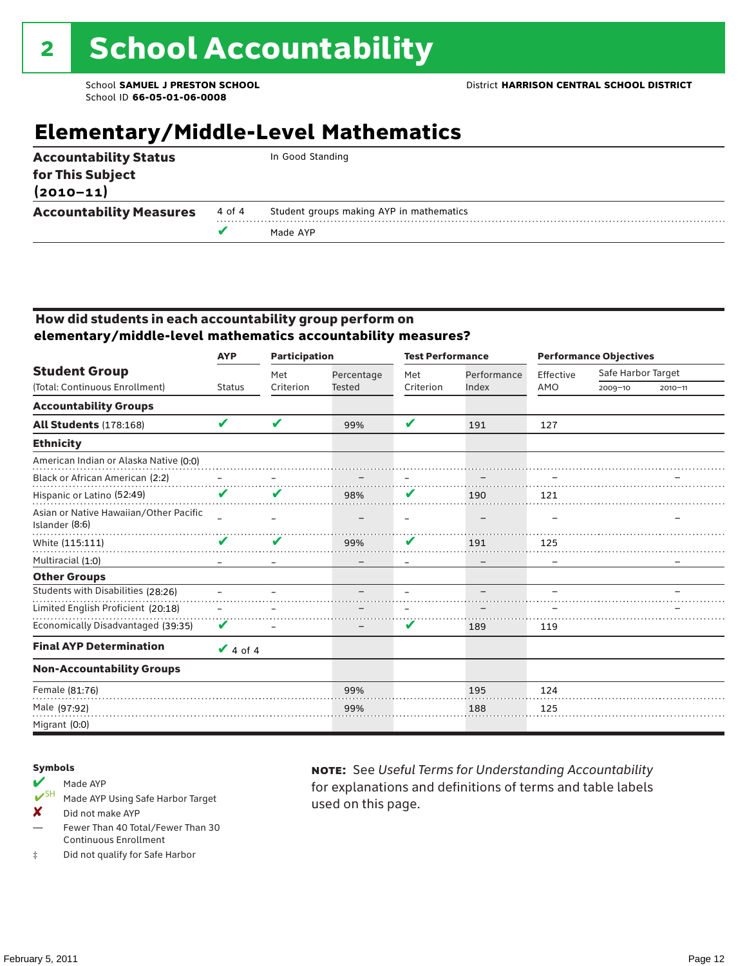## **Elementary/Middle-Level Mathematics**

| <b>Accountability Status</b><br>for This Subject<br>$(2010 - 11)$ |        | In Good Standing                         |
|-------------------------------------------------------------------|--------|------------------------------------------|
| <b>Accountability Measures</b>                                    | 4 of 4 | Student groups making AYP in mathematics |
|                                                                   |        | Made AYP                                 |
|                                                                   |        |                                          |

#### How did students in each accountability group perform on **elementary/middle-level mathematics accountability measures?**

|                                                          | <b>AYP</b>    | <b>Participation</b> |               | <b>Test Performance</b> |             | <b>Performance Objectives</b> |                    |             |  |
|----------------------------------------------------------|---------------|----------------------|---------------|-------------------------|-------------|-------------------------------|--------------------|-------------|--|
| <b>Student Group</b>                                     |               | Met                  | Percentage    | Met                     | Performance | Effective                     | Safe Harbor Target |             |  |
| (Total: Continuous Enrollment)                           | <b>Status</b> | Criterion            | <b>Tested</b> | Criterion               | Index       | AMO                           | $2009 - 10$        | $2010 - 11$ |  |
| <b>Accountability Groups</b>                             |               |                      |               |                         |             |                               |                    |             |  |
| <b>All Students (178:168)</b>                            | V             | V                    | 99%           | V                       | 191         | 127                           |                    |             |  |
| <b>Ethnicity</b>                                         |               |                      |               |                         |             |                               |                    |             |  |
| American Indian or Alaska Native (0:0)                   |               |                      |               |                         |             |                               |                    |             |  |
| Black or African American (2:2)                          |               |                      |               |                         |             |                               |                    |             |  |
| Hispanic or Latino (52:49)                               | V             | V                    | 98%           | V                       | 190         | 121                           |                    |             |  |
| Asian or Native Hawaiian/Other Pacific<br>Islander (8:6) |               |                      |               |                         |             |                               |                    |             |  |
| White (115:111)                                          | V             | V                    | 99%           | V                       | 191         | 125                           |                    |             |  |
| Multiracial (1:0)                                        |               |                      |               |                         |             |                               |                    |             |  |
| <b>Other Groups</b>                                      |               |                      |               |                         |             |                               |                    |             |  |
| Students with Disabilities (28:26)                       |               |                      |               |                         |             |                               |                    |             |  |
| Limited English Proficient (20:18)                       |               |                      |               |                         |             |                               |                    |             |  |
| Economically Disadvantaged (39:35)                       | V             |                      |               | V                       | 189         | 119                           |                    |             |  |
| <b>Final AYP Determination</b>                           | $\vee$ 4 of 4 |                      |               |                         |             |                               |                    |             |  |
| <b>Non-Accountability Groups</b>                         |               |                      |               |                         |             |                               |                    |             |  |
| Female (81:76)                                           |               |                      | 99%           |                         | 195         | 124                           |                    |             |  |
| Male (97:92)                                             |               |                      | 99%           |                         | 188         | 125                           |                    |             |  |
| Migrant (0:0)                                            |               |                      |               |                         |             |                               |                    |             |  |

#### Symbols

### Made AYP<br> **V**SH Made AVP

- Made AYP Using Safe Harbor Target
- X Did not make AYP
- Fewer Than 40 Total/Fewer Than 30 Continuous Enrollment
- ‡ Did not qualify for Safe Harbor

note: See *Useful Terms for Understanding Accountability*  for explanations and definitions of terms and table labels used on this page.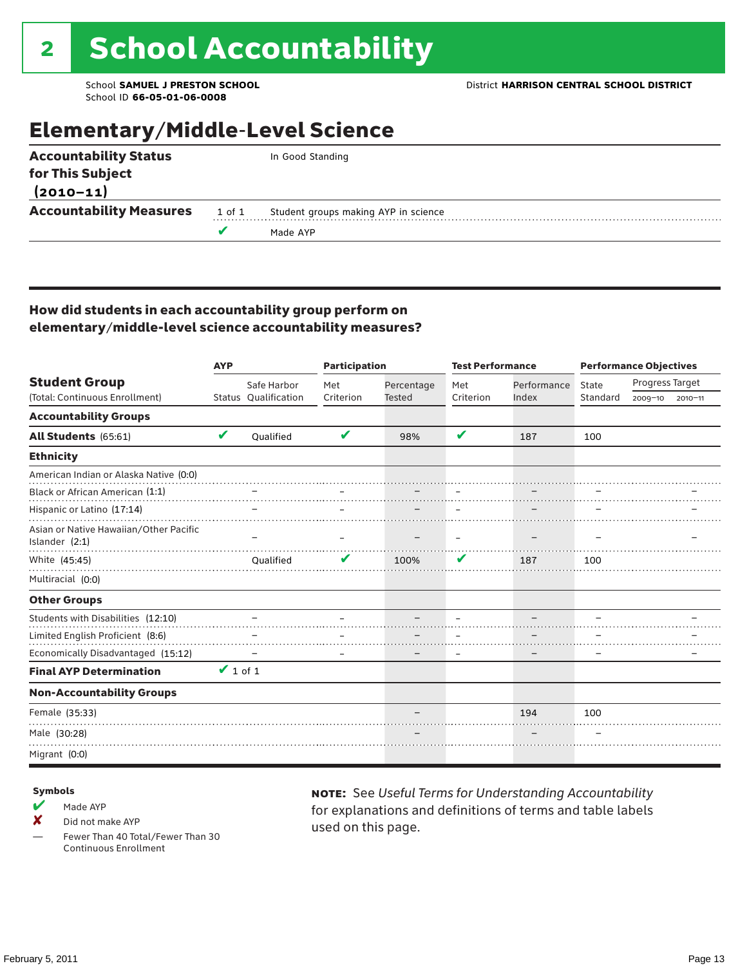## Elementary/Middle-Level Science

|        | In Good Standing                     |
|--------|--------------------------------------|
|        |                                      |
|        |                                      |
| 1 of 1 | Student groups making AYP in science |
|        | Made AYP                             |
|        | <b>Accountability Measures</b>       |

#### How did students in each accountability group perform on elementary/middle-level science accountability measures?

|                                                            | <b>AYP</b>    |                      | <b>Participation</b> |               | <b>Test Performance</b> |             | <b>Performance Objectives</b> |                 |             |
|------------------------------------------------------------|---------------|----------------------|----------------------|---------------|-------------------------|-------------|-------------------------------|-----------------|-------------|
| <b>Student Group</b>                                       |               | Safe Harbor          | Met                  | Percentage    | Met                     | Performance | State                         | Progress Target |             |
| (Total: Continuous Enrollment)                             |               | Status Qualification | Criterion            | <b>Tested</b> | Criterion               | Index       | Standard                      | $2009 - 10$     | $2010 - 11$ |
| <b>Accountability Groups</b>                               |               |                      |                      |               |                         |             |                               |                 |             |
| All Students (65:61)                                       | V             | Oualified            | V                    | 98%           | V                       | 187         | 100                           |                 |             |
| <b>Ethnicity</b>                                           |               |                      |                      |               |                         |             |                               |                 |             |
| American Indian or Alaska Native (0:0)                     |               |                      |                      |               |                         |             |                               |                 |             |
| Black or African American (1:1)                            |               |                      |                      |               |                         |             |                               |                 |             |
| Hispanic or Latino (17:14)                                 |               |                      |                      |               |                         |             |                               |                 |             |
| Asian or Native Hawaiian/Other Pacific<br>Islander $(2:1)$ |               |                      |                      |               |                         |             |                               |                 |             |
| White (45:45)                                              |               | Oualified            |                      | 100%          | V                       | 187         | 100                           |                 |             |
| Multiracial (0:0)                                          |               |                      |                      |               |                         |             |                               |                 |             |
| <b>Other Groups</b>                                        |               |                      |                      |               |                         |             |                               |                 |             |
| Students with Disabilities (12:10)                         |               |                      |                      |               |                         |             |                               |                 |             |
| Limited English Proficient (8:6)                           |               |                      |                      |               |                         |             |                               |                 |             |
| Economically Disadvantaged (15:12)                         |               |                      |                      |               |                         |             |                               |                 |             |
| <b>Final AYP Determination</b>                             | $\vee$ 1 of 1 |                      |                      |               |                         |             |                               |                 |             |
| <b>Non-Accountability Groups</b>                           |               |                      |                      |               |                         |             |                               |                 |             |
| Female (35:33)                                             |               |                      |                      |               |                         | 194         | 100                           |                 |             |
| Male (30:28)                                               |               |                      |                      |               |                         |             |                               |                 |             |
| Migrant (0:0)                                              |               |                      |                      |               |                         |             |                               |                 |             |

#### Symbols

- $M$  Made AYP
- X Did not make AYP

Fewer Than 40 Total/Fewer Than 30 Continuous Enrollment

note: See *Useful Terms for Understanding Accountability*  for explanations and definitions of terms and table labels used on this page.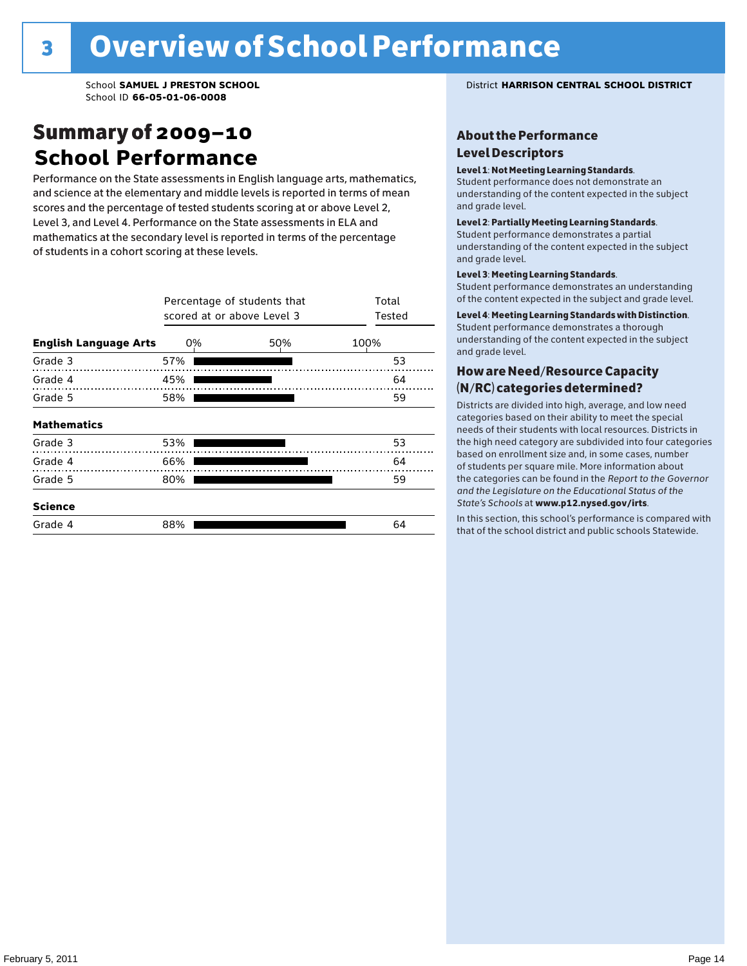### Summary of 2009–10 **School Performance**

Performance on the State assessments in English language arts, mathematics, and science at the elementary and middle levels is reported in terms of mean scores and the percentage of tested students scoring at or above Level 2, Level 3, and Level 4. Performance on the State assessments in ELA and mathematics at the secondary level is reported in terms of the percentage of students in a cohort scoring at these levels.

|                              |     | Percentage of students that<br>scored at or above Level 3 |    |  |  |  |  |  |  |  |  |
|------------------------------|-----|-----------------------------------------------------------|----|--|--|--|--|--|--|--|--|
| <b>English Language Arts</b> | 0%  | 100%                                                      |    |  |  |  |  |  |  |  |  |
| Grade 3                      | 57% |                                                           | 53 |  |  |  |  |  |  |  |  |
| Grade 4                      | 45% |                                                           | 64 |  |  |  |  |  |  |  |  |
| Grade 5                      | 58% |                                                           | 59 |  |  |  |  |  |  |  |  |
| <b>Mathematics</b>           |     |                                                           |    |  |  |  |  |  |  |  |  |
| Grade 3                      | 53% |                                                           | 53 |  |  |  |  |  |  |  |  |
| Grade 4                      | 66% |                                                           | 64 |  |  |  |  |  |  |  |  |
| Grade 5                      | 80% |                                                           | 59 |  |  |  |  |  |  |  |  |
| <b>Science</b>               |     |                                                           |    |  |  |  |  |  |  |  |  |
| Grade 4                      | 88% |                                                           | 64 |  |  |  |  |  |  |  |  |

School **SAMUEL J PRESTON SCHOOL** District **HARRISON CENTRAL SCHOOL DISTRICT**

#### About the Performance Level Descriptors

#### Level 1: Not Meeting Learning Standards.

Student performance does not demonstrate an understanding of the content expected in the subject and grade level.

#### Level 2: Partially Meeting Learning Standards.

Student performance demonstrates a partial understanding of the content expected in the subject and grade level.

#### Level 3: Meeting Learning Standards.

Student performance demonstrates an understanding of the content expected in the subject and grade level.

#### Level 4: Meeting Learning Standards with Distinction.

Student performance demonstrates a thorough understanding of the content expected in the subject and grade level.

#### How are Need/Resource Capacity (N/RC) categories determined?

Districts are divided into high, average, and low need categories based on their ability to meet the special needs of their students with local resources. Districts in the high need category are subdivided into four categories based on enrollment size and, in some cases, number of students per square mile. More information about the categories can be found in the *Report to the Governor and the Legislature on the Educational Status of the*  State's Schools at www.p12.nysed.gov/irts.

In this section, this school's performance is compared with<br>that of the school district and multigarhaals Statemide In this section, this school's performance is compared that of the school district and public schools Statewide.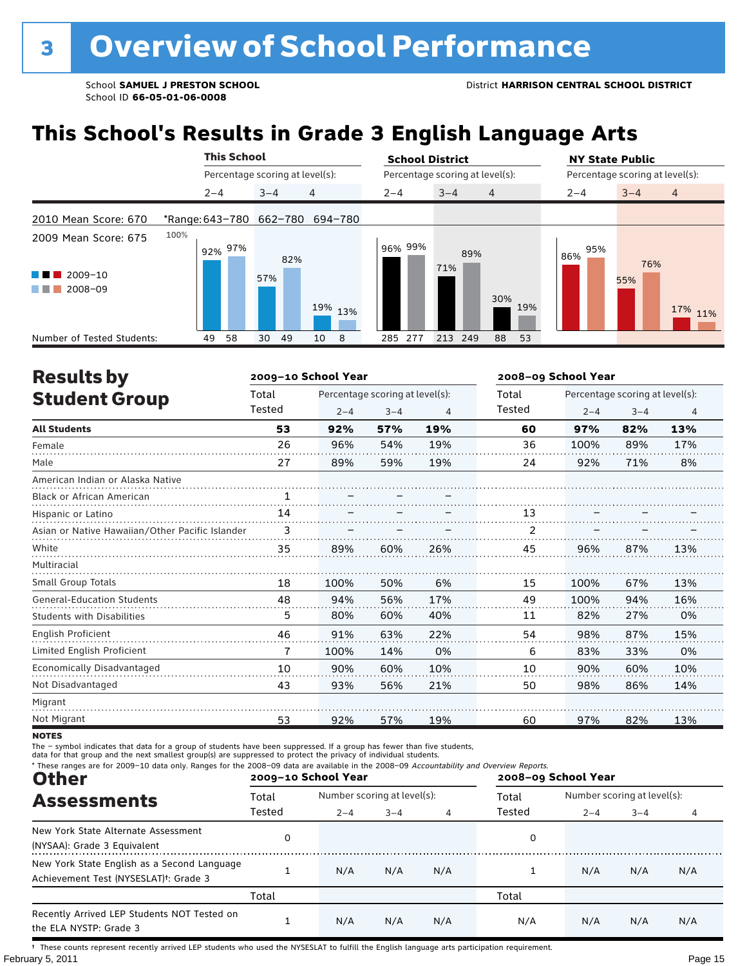## **This School's Results in Grade 3 English Language Arts**

|                                            |         | <b>This School</b> |          |                                 | <b>School District</b> |                                 |     | <b>NY State Public</b>          |            |                |  |  |  |
|--------------------------------------------|---------|--------------------|----------|---------------------------------|------------------------|---------------------------------|-----|---------------------------------|------------|----------------|--|--|--|
|                                            |         |                    |          | Percentage scoring at level(s): |                        | Percentage scoring at level(s): |     | Percentage scoring at level(s): |            |                |  |  |  |
|                                            | $2 - 4$ |                    | $3 - 4$  | 4                               | $2 - 4$                | $3 - 4$<br>$\overline{4}$       |     | $2 - 4$                         | $3 - 4$    | $\overline{4}$ |  |  |  |
| 2010 Mean Score: 670                       |         |                    |          | *Range: 643-780 662-780 694-780 |                        |                                 |     |                                 |            |                |  |  |  |
| 2009 Mean Score: 675<br>2009-10<br>2008-09 | 100%    | $92\%~97\%$        | 57%      | 82%<br>19% 13%                  | 96% 99%                | 89%<br>71%<br>30%               | 19% | 95%<br>86%                      | 76%<br>55% | 17% 11%        |  |  |  |
| Number of Tested Students:                 | 49      | 58                 | 49<br>30 | 10<br>8                         | 285<br>277             | 213<br>249<br>88                | 53  |                                 |            |                |  |  |  |

| <b>Results by</b>                               |        | 2009-10 School Year |                                 |     | 2008-09 School Year |                                 |         |     |  |  |
|-------------------------------------------------|--------|---------------------|---------------------------------|-----|---------------------|---------------------------------|---------|-----|--|--|
| <b>Student Group</b>                            | Total  |                     | Percentage scoring at level(s): |     | Total               | Percentage scoring at level(s): |         |     |  |  |
|                                                 | Tested | $2 - 4$             | $3 - 4$                         | 4   | Tested              | $2 - 4$                         | $3 - 4$ | 4   |  |  |
| <b>All Students</b>                             | 53     | 92%                 | 57%                             | 19% | 60                  | 97%                             | 82%     | 13% |  |  |
| Female                                          | 26     | 96%                 | 54%                             | 19% | 36                  | 100%                            | 89%     | 17% |  |  |
| Male                                            | 27     | 89%                 | 59%                             | 19% | 24                  | 92%                             | 71%     | 8%  |  |  |
| American Indian or Alaska Native                |        |                     |                                 |     |                     |                                 |         |     |  |  |
| <b>Black or African American</b>                | 1      |                     |                                 |     |                     |                                 |         |     |  |  |
| Hispanic or Latino                              | 14     |                     |                                 |     | 13                  |                                 |         |     |  |  |
| Asian or Native Hawaiian/Other Pacific Islander | 3      |                     |                                 |     | $\overline{2}$      |                                 |         |     |  |  |
| White                                           | 35     | 89%                 | 60%                             | 26% | 45                  | 96%                             | 87%     | 13% |  |  |
| Multiracial                                     |        |                     |                                 |     |                     |                                 |         |     |  |  |
| <b>Small Group Totals</b>                       | 18     | 100%                | 50%                             | 6%  | 15                  | 100%                            | 67%     | 13% |  |  |
| <b>General-Education Students</b>               | 48     | 94%                 | 56%                             | 17% | 49                  | 100%                            | 94%     | 16% |  |  |
| <b>Students with Disabilities</b>               | 5      | 80%                 | 60%                             | 40% | 11                  | 82%                             | 27%     | 0%  |  |  |
| English Proficient                              | 46     | 91%                 | 63%                             | 22% | 54                  | 98%                             | 87%     | 15% |  |  |
| Limited English Proficient                      | 7      | 100%                | 14%                             | 0%  | 6                   | 83%                             | 33%     | 0%  |  |  |
| Economically Disadvantaged                      | 10     | 90%                 | 60%                             | 10% | 10                  | 90%                             | 60%     | 10% |  |  |
| Not Disadvantaged                               | 43     | 93%                 | 56%                             | 21% | 50                  | 98%                             | 86%     | 14% |  |  |
| Migrant                                         |        |                     |                                 |     |                     |                                 |         |     |  |  |
| Not Migrant                                     | 53     | 92%                 | 57%                             | 19% | 60                  | 97%                             | 82%     | 13% |  |  |

**NOTES** 

The – symbol indicates that data for a group of students have been suppressed. If a group has fewer than five students,<br>data for that group and the next smallest group(s) are suppressed to protect the privacy of individual

| * These ranges are for 2009-10 data only. Ranges for the 2008-09 data are available in the 2008-09 Accountability and Overview Reports.<br><b>Other</b> |        | 2009-10 School Year         |         |     | 2008-09 School Year |                             |         |     |  |  |
|---------------------------------------------------------------------------------------------------------------------------------------------------------|--------|-----------------------------|---------|-----|---------------------|-----------------------------|---------|-----|--|--|
| <b>Assessments</b>                                                                                                                                      | Total  | Number scoring at level(s): |         |     | Total               | Number scoring at level(s): |         |     |  |  |
|                                                                                                                                                         | Tested | $2 - 4$                     | $3 - 4$ | 4   | Tested              | $2 - 4$                     | $3 - 4$ |     |  |  |
| New York State Alternate Assessment<br>(NYSAA): Grade 3 Equivalent                                                                                      | 0      |                             |         |     | 0                   |                             |         |     |  |  |
| New York State English as a Second Language<br>Achievement Test (NYSESLAT) <sup>+</sup> : Grade 3                                                       |        | N/A                         | N/A     | N/A |                     | N/A                         | N/A     | N/A |  |  |
|                                                                                                                                                         | Total  |                             |         |     | Total               |                             |         |     |  |  |
| Recently Arrived LEP Students NOT Tested on<br>the ELA NYSTP: Grade 3                                                                                   |        | N/A                         | N/A     | N/A | N/A                 | N/A                         | N/A     | N/A |  |  |

February 5, 2011 **Page 15** † These counts represent recently arrived LEP students who used the NYSESLAT to fulfill the English language arts participation requirement.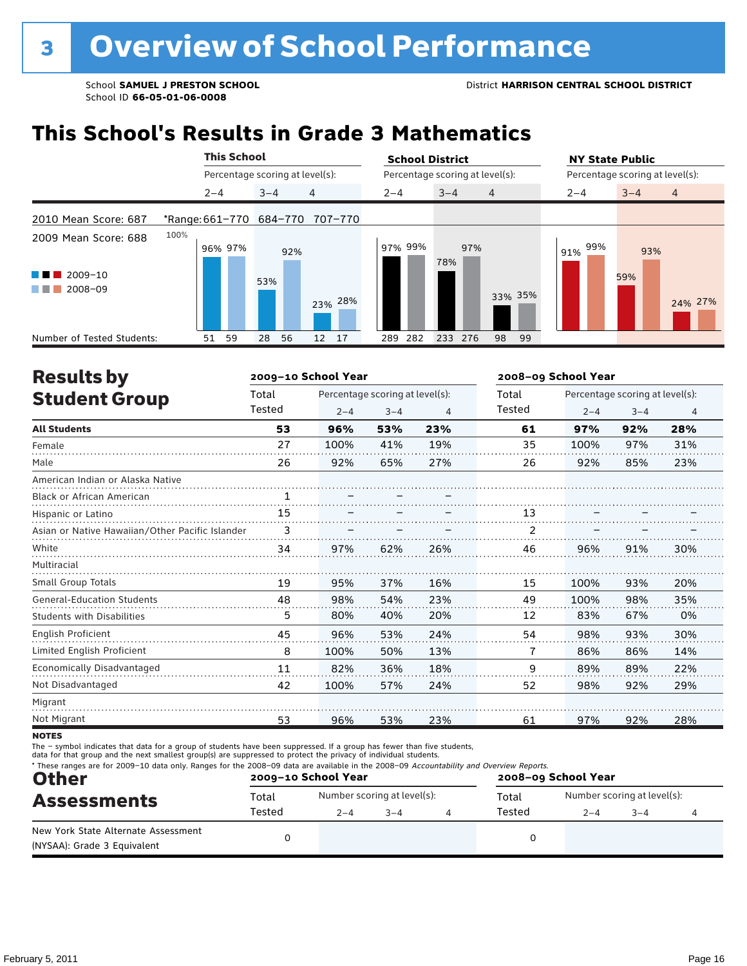## **This School's Results in Grade 3 Mathematics**

|                                                               |                         |         | <b>This School</b> |         |     |                                 | <b>School District</b>          |            |                |    | <b>NY State Public</b>          |            |                |  |  |
|---------------------------------------------------------------|-------------------------|---------|--------------------|---------|-----|---------------------------------|---------------------------------|------------|----------------|----|---------------------------------|------------|----------------|--|--|
|                                                               |                         |         |                    |         |     | Percentage scoring at level(s): | Percentage scoring at level(s): |            |                |    | Percentage scoring at level(s): |            |                |  |  |
|                                                               |                         | $2 - 4$ |                    | $3 - 4$ |     | 4                               | $2 - 4$                         | $3 - 4$    | $\overline{4}$ |    | $2 - 4$                         | $3 - 4$    | $\overline{4}$ |  |  |
| 2010 Mean Score: 687                                          | *Range: 661-770 684-770 |         |                    |         |     | 707-770                         |                                 |            |                |    |                                 |            |                |  |  |
| 2009 Mean Score: 688<br>$2009 - 10$<br>a ka<br>2008-09<br>. . | 100%                    |         | 96% 97%            | 53%     | 92% | 23% 28%                         | 97% 99%                         | 97%<br>78% | 33% 35%        |    | 99%<br>91%                      | 93%<br>59% | 24% 27%        |  |  |
| Number of Tested Students:                                    |                         | 51      | 59                 | 28      | 56  | 12 <sup>7</sup><br>17           | 282<br>289                      | 233 276    | 98             | 99 |                                 |            |                |  |  |

| <b>Results by</b>                               |        | 2009-10 School Year |                                 |     | 2008-09 School Year |                                 |         |     |  |  |
|-------------------------------------------------|--------|---------------------|---------------------------------|-----|---------------------|---------------------------------|---------|-----|--|--|
| <b>Student Group</b>                            | Total  |                     | Percentage scoring at level(s): |     | Total               | Percentage scoring at level(s): |         |     |  |  |
|                                                 | Tested | $2 - 4$             | $3 - 4$                         | 4   | Tested              | $2 - 4$                         | $3 - 4$ | 4   |  |  |
| <b>All Students</b>                             | 53     | 96%                 | 53%                             | 23% | 61                  | 97%                             | 92%     | 28% |  |  |
| Female                                          | 27     | 100%                | 41%                             | 19% | 35                  | 100%                            | 97%     | 31% |  |  |
| Male                                            | 26     | 92%                 | 65%                             | 27% | 26                  | 92%                             | 85%     | 23% |  |  |
| American Indian or Alaska Native                |        |                     |                                 |     |                     |                                 |         |     |  |  |
| <b>Black or African American</b>                | 1      |                     |                                 |     |                     |                                 |         |     |  |  |
| Hispanic or Latino                              | 15     |                     |                                 |     | 13                  |                                 |         |     |  |  |
| Asian or Native Hawaiian/Other Pacific Islander | 3      |                     |                                 |     |                     |                                 |         |     |  |  |
| White                                           | 34     | 97%                 | 62%                             | 26% | 46                  | 96%                             | 91%     | 30% |  |  |
| Multiracial                                     |        |                     |                                 |     |                     |                                 |         |     |  |  |
| <b>Small Group Totals</b>                       | 19     | 95%                 | 37%                             | 16% | 15                  | 100%                            | 93%     | 20% |  |  |
| <b>General-Education Students</b>               | 48     | 98%                 | 54%                             | 23% | 49                  | 100%                            | 98%     | 35% |  |  |
| <b>Students with Disabilities</b>               | 5      | 80%                 | 40%                             | 20% | 12                  | 83%                             | 67%     | 0%  |  |  |
| English Proficient                              | 45     | 96%                 | 53%                             | 24% | 54                  | 98%                             | 93%     | 30% |  |  |
| Limited English Proficient                      | 8      | 100%                | 50%                             | 13% | 7                   | 86%                             | 86%     | 14% |  |  |
| Economically Disadvantaged                      | 11     | 82%                 | 36%                             | 18% | 9                   | 89%                             | 89%     | 22% |  |  |
| Not Disadvantaged                               | 42     | 100%                | 57%                             | 24% | 52                  | 98%                             | 92%     | 29% |  |  |
| Migrant                                         |        |                     |                                 |     |                     |                                 |         |     |  |  |
| Not Migrant                                     | 53     | 96%                 | 53%                             | 23% | 61                  | 97%                             | 92%     | 28% |  |  |
|                                                 |        |                     |                                 |     |                     |                                 |         |     |  |  |

**NOTES** 

The – symbol indicates that data for a group of students have been suppressed. If a group has fewer than five students,<br>data for that group and the next smallest group(s) are suppressed to protect the privacy of individual

| <b>Other</b>                                                       |        | 2009-10 School Year |                             | 2008-09 School Year |        |         |                             |  |  |  |
|--------------------------------------------------------------------|--------|---------------------|-----------------------------|---------------------|--------|---------|-----------------------------|--|--|--|
| <b>Assessments</b>                                                 | Total  |                     | Number scoring at level(s): |                     | Total  |         | Number scoring at level(s): |  |  |  |
|                                                                    | Tested | $2 - 4$             | $3 - 4$                     |                     | Tested | $2 - 4$ | $3 - 4$                     |  |  |  |
| New York State Alternate Assessment<br>(NYSAA): Grade 3 Equivalent |        |                     |                             |                     |        |         |                             |  |  |  |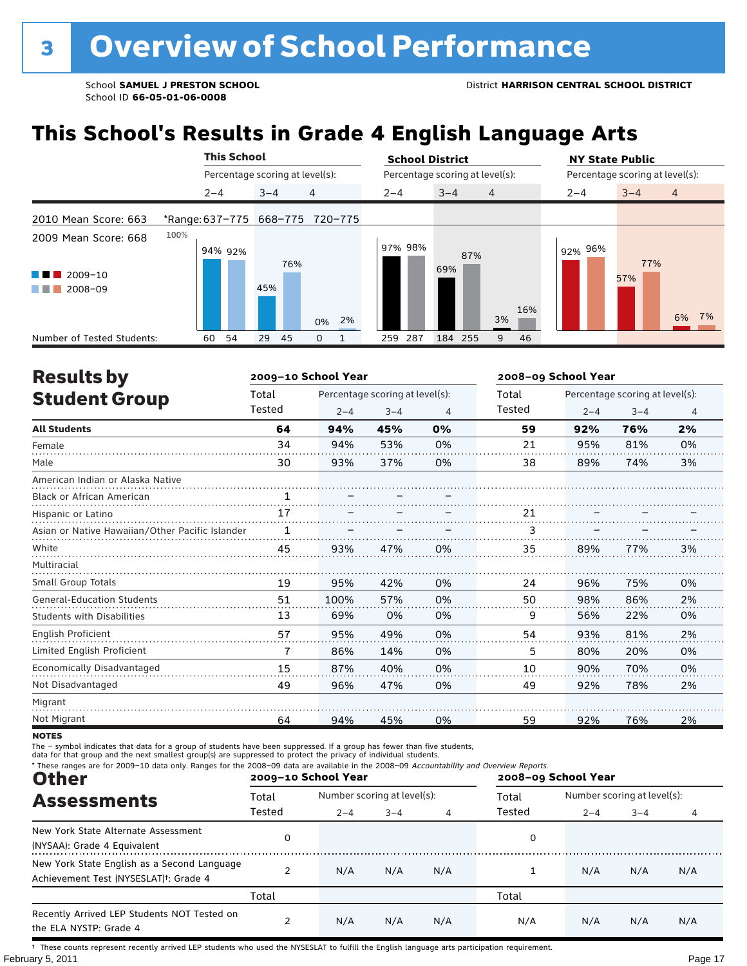## **This School's Results in Grade 4 English Language Arts**

|                                            |                                 |         | <b>This School</b>              |         |     |                |       | <b>School District</b><br><b>NY State Public</b> |         |         |                                 |     |                |     |         |  |                                 |                |    |
|--------------------------------------------|---------------------------------|---------|---------------------------------|---------|-----|----------------|-------|--------------------------------------------------|---------|---------|---------------------------------|-----|----------------|-----|---------|--|---------------------------------|----------------|----|
|                                            |                                 |         | Percentage scoring at level(s): |         |     |                |       |                                                  |         |         | Percentage scoring at level(s): |     |                |     |         |  | Percentage scoring at level(s): |                |    |
|                                            |                                 | $2 - 4$ |                                 | $3 - 4$ |     | $\overline{4}$ |       |                                                  | $2 - 4$ |         | $3 - 4$                         |     | $\overline{4}$ |     | $2 - 4$ |  | $3 - 4$                         | $\overline{4}$ |    |
| 2010 Mean Score: 663                       | *Range: 637-775 668-775 720-775 |         |                                 |         |     |                |       |                                                  |         |         |                                 |     |                |     |         |  |                                 |                |    |
| 2009 Mean Score: 668<br>2009-10<br>2008-09 | 100%                            |         | 94% 92%                         | 45%     | 76% |                | 0% 2% |                                                  |         | 97% 98% | 69%                             | 87% | 3%             | 16% | 92% 96% |  | 77%<br>57%                      | 6%             | 7% |
| Number of Tested Students:                 |                                 | 60      | 54                              | 29      | 45  | 0              |       |                                                  | 259     | 287     | 184 255                         |     | 9              | 46  |         |  |                                 |                |    |

| <b>Results by</b>                               |        | 2009-10 School Year |                                 |    | 2008-09 School Year |         |                                 |                |  |
|-------------------------------------------------|--------|---------------------|---------------------------------|----|---------------------|---------|---------------------------------|----------------|--|
| <b>Student Group</b>                            | Total  |                     | Percentage scoring at level(s): |    | Total               |         | Percentage scoring at level(s): |                |  |
|                                                 | Tested | $2 - 4$             | $3 - 4$                         | 4  | Tested              | $2 - 4$ | $3 - 4$                         | $\overline{4}$ |  |
| <b>All Students</b>                             | 64     | 94%                 | 45%                             | 0% | 59                  | 92%     | 76%                             | 2%             |  |
| Female                                          | 34     | 94%                 | 53%                             | 0% | 21                  | 95%     | 81%                             | 0%             |  |
| Male                                            | 30     | 93%                 | 37%                             | 0% | 38                  | 89%     | 74%                             | 3%             |  |
| American Indian or Alaska Native                |        |                     |                                 |    |                     |         |                                 |                |  |
| <b>Black or African American</b>                | 1      |                     |                                 |    |                     |         |                                 |                |  |
| Hispanic or Latino                              | 17     |                     |                                 |    | 21                  |         |                                 |                |  |
| Asian or Native Hawaiian/Other Pacific Islander | 1      |                     |                                 |    | 3                   |         |                                 |                |  |
| White                                           | 45     | 93%                 | 47%                             | 0% | 35                  | 89%     | 77%                             | 3%             |  |
| Multiracial                                     |        |                     |                                 |    |                     |         |                                 |                |  |
| <b>Small Group Totals</b>                       | 19     | 95%                 | 42%                             | 0% | 24                  | 96%     | 75%                             | 0%             |  |
| <b>General-Education Students</b>               | 51     | 100%                | 57%                             | 0% | 50                  | 98%     | 86%                             | 2%             |  |
| <b>Students with Disabilities</b>               | 13     | 69%                 | 0%                              | 0% | 9                   | 56%     | 22%                             | 0%             |  |
| <b>English Proficient</b>                       | 57     | 95%                 | 49%                             | 0% | 54                  | 93%     | 81%                             | 2%             |  |
| Limited English Proficient                      | 7      | 86%                 | 14%                             | 0% | 5                   | 80%     | 20%                             | 0%             |  |
| Economically Disadvantaged                      | 15     | 87%                 | 40%                             | 0% | 10                  | 90%     | 70%                             | 0%             |  |
| Not Disadvantaged                               | 49     | 96%                 | 47%                             | 0% | 49                  | 92%     | 78%                             | 2%             |  |
| Migrant                                         |        |                     |                                 |    |                     |         |                                 |                |  |
| Not Migrant                                     | 64     | 94%                 | 45%                             | 0% | 59                  | 92%     | 76%                             | 2%             |  |

**NOTES** 

The – symbol indicates that data for a group of students have been suppressed. If a group has fewer than five students,<br>data for that group and the next smallest group(s) are suppressed to protect the privacy of individual

| * These ranges are for 2009-10 data only. Ranges for the 2008-09 data are available in the 2008-09 Accountability and Overview Reports.<br><b>Other</b> |        | 2009-10 School Year         |     |     | 2008-09 School Year |                             |         |     |  |
|---------------------------------------------------------------------------------------------------------------------------------------------------------|--------|-----------------------------|-----|-----|---------------------|-----------------------------|---------|-----|--|
| <b>Assessments</b>                                                                                                                                      | Total  | Number scoring at level(s): |     |     | Total               | Number scoring at level(s): |         |     |  |
|                                                                                                                                                         | Tested | $2 - 4$<br>$3 - 4$          |     | 4   | Tested              | $2 - 4$                     | $3 - 4$ | 4   |  |
| New York State Alternate Assessment<br>(NYSAA): Grade 4 Equivalent                                                                                      | 0      |                             |     |     | 0                   |                             |         |     |  |
| New York State English as a Second Language<br>Achievement Test (NYSESLAT) <sup>†</sup> : Grade 4                                                       |        | N/A                         | N/A | N/A |                     | N/A                         | N/A     | N/A |  |
|                                                                                                                                                         | Total  |                             |     |     | Total               |                             |         |     |  |
| Recently Arrived LEP Students NOT Tested on<br>the ELA NYSTP: Grade 4                                                                                   |        | N/A                         | N/A | N/A | N/A                 | N/A                         | N/A     | N/A |  |

February 5, 2011 **Page 17** † These counts represent recently arrived LEP students who used the NYSESLAT to fulfill the English language arts participation requirement.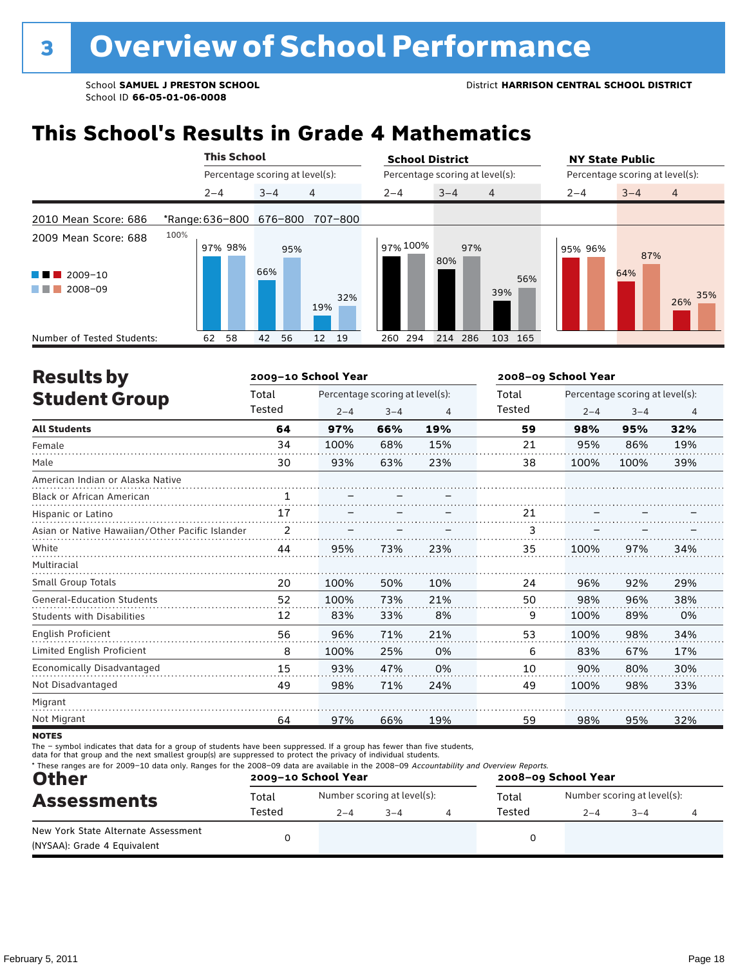## **This School's Results in Grade 4 Mathematics**

|                                                                             |      | <b>This School</b> |                                 |                                 | <b>School District</b> |                                 |            | <b>NY State Public</b>          |            |                |
|-----------------------------------------------------------------------------|------|--------------------|---------------------------------|---------------------------------|------------------------|---------------------------------|------------|---------------------------------|------------|----------------|
|                                                                             |      |                    | Percentage scoring at level(s): |                                 |                        | Percentage scoring at level(s): |            | Percentage scoring at level(s): |            |                |
|                                                                             |      | $2 - 4$            | $3 - 4$                         | 4                               | $2 - 4$                | $3 - 4$                         | 4          | $2 - 4$                         | $3 - 4$    | $\overline{4}$ |
| 2010 Mean Score: 686                                                        |      |                    |                                 | *Range: 636-800 676-800 707-800 |                        |                                 |            |                                 |            |                |
| 2009 Mean Score: 688<br>2009-10<br><b>CONTRACTOR</b><br>2008-09<br>a sa Tan | 100% | 97% 98%            | 95%<br>66%                      | 32%<br>19%                      | 97% 100%               | 97%<br>80%                      | 56%<br>39% | 95% 96%                         | 87%<br>64% | 35%<br>26%     |
| Number of Tested Students:                                                  |      | 58<br>62           | 56<br>42                        | 19<br>12 <sup>2</sup>           | 294<br>260             | 214 286                         | 103 165    |                                 |            |                |

| <b>Results by</b>                               |        | 2009-10 School Year |                                 |     | 2008-09 School Year |                                                                                        |         |     |  |
|-------------------------------------------------|--------|---------------------|---------------------------------|-----|---------------------|----------------------------------------------------------------------------------------|---------|-----|--|
| <b>Student Group</b>                            | Total  |                     | Percentage scoring at level(s): |     | Total               |                                                                                        |         |     |  |
|                                                 | Tested | $2 - 4$             | $3 - 4$                         | 4   | Tested              | Percentage scoring at level(s):<br>$2 - 4$<br>98%<br>95%<br>100%<br>100%<br>96%<br>98% | $3 - 4$ | 4   |  |
| <b>All Students</b>                             | 64     | 97%                 | 66%                             | 19% | 59                  |                                                                                        | 95%     | 32% |  |
| Female                                          | 34     | 100%                | 68%                             | 15% | 21                  |                                                                                        | 86%     | 19% |  |
| Male                                            | 30     | 93%                 | 63%                             | 23% | 38                  |                                                                                        | 100%    | 39% |  |
| American Indian or Alaska Native                |        |                     |                                 |     |                     |                                                                                        |         |     |  |
| <b>Black or African American</b>                | 1      |                     |                                 |     |                     |                                                                                        |         |     |  |
| Hispanic or Latino                              | 17     |                     |                                 |     | 21                  |                                                                                        |         |     |  |
| Asian or Native Hawaiian/Other Pacific Islander | 2      |                     |                                 |     | 3                   |                                                                                        |         |     |  |
| White                                           | 44     | 95%                 | 73%                             | 23% | 35                  |                                                                                        | 97%     | 34% |  |
| Multiracial                                     |        |                     |                                 |     |                     |                                                                                        |         |     |  |
| <b>Small Group Totals</b>                       | 20     | 100%                | 50%                             | 10% | 24                  |                                                                                        | 92%     | 29% |  |
| <b>General-Education Students</b>               | 52     | 100%                | 73%                             | 21% | 50                  |                                                                                        | 96%     | 38% |  |
| <b>Students with Disabilities</b>               | 12     | 83%                 | 33%                             | 8%  | 9                   | 100%                                                                                   | 89%     | 0%  |  |
| <b>English Proficient</b>                       | 56     | 96%                 | 71%                             | 21% | 53                  | 100%                                                                                   | 98%     | 34% |  |
| Limited English Proficient                      | 8      | 100%                | 25%                             | 0%  | 6                   | 83%                                                                                    | 67%     | 17% |  |
| Economically Disadvantaged                      | 15     | 93%                 | 47%                             | 0%  | 10                  | 90%                                                                                    | 80%     | 30% |  |
| Not Disadvantaged                               | 49     | 98%                 | 71%                             | 24% | 49                  | 100%                                                                                   | 98%     | 33% |  |
| Migrant                                         |        |                     |                                 |     |                     |                                                                                        |         |     |  |
| Not Migrant                                     | 64     | 97%                 | 66%                             | 19% | 59                  | 98%                                                                                    | 95%     | 32% |  |

**NOTES** 

The – symbol indicates that data for a group of students have been suppressed. If a group has fewer than five students,<br>data for that group and the next smallest group(s) are suppressed to protect the privacy of individual

| * These ranges are for 2009-10 data only. Ranges for the 2008-09 data are available in the 2008-09 Accountability and Overview Reports.<br><b>Other</b><br><b>Assessments</b> |        | 2009-10 School Year |                             | 2008-09 School Year |        |                             |        |  |  |
|-------------------------------------------------------------------------------------------------------------------------------------------------------------------------------|--------|---------------------|-----------------------------|---------------------|--------|-----------------------------|--------|--|--|
|                                                                                                                                                                               | Total  |                     | Number scoring at level(s): |                     | Total  | Number scoring at level(s): |        |  |  |
|                                                                                                                                                                               | Tested | $2 - 4$             | $3 - 4$                     |                     | Tested | $2 - 4$                     | $-3-4$ |  |  |
| New York State Alternate Assessment<br>(NYSAA): Grade 4 Equivalent                                                                                                            |        |                     |                             |                     |        |                             |        |  |  |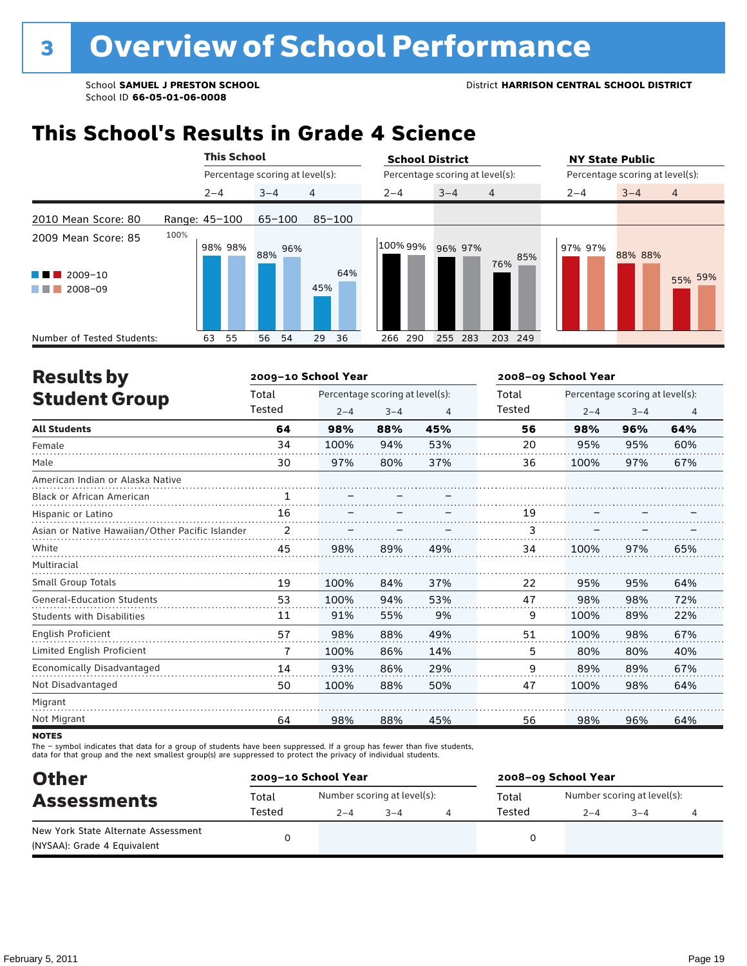## **This School's Results in Grade 4 Science**

|                                                          |               | <b>This School</b> |                                 |            | <b>School District</b> |                                 |                | <b>NY State Public</b>          |         |                |  |
|----------------------------------------------------------|---------------|--------------------|---------------------------------|------------|------------------------|---------------------------------|----------------|---------------------------------|---------|----------------|--|
|                                                          |               |                    | Percentage scoring at level(s): |            |                        | Percentage scoring at level(s): |                | Percentage scoring at level(s): |         |                |  |
|                                                          | $2 - 4$       |                    | $3 - 4$                         | 4          | $2 - 4$                | $3 - 4$                         | $\overline{4}$ | $2 - 4$                         | $3 - 4$ | $\overline{4}$ |  |
| 2010 Mean Score: 80                                      | Range: 45-100 |                    | $65 - 100$                      | $85 - 100$ |                        |                                 |                |                                 |         |                |  |
| 2009 Mean Score: 85<br>$2009 - 10$<br>a sa Ba<br>2008-09 | 100%          | 98% 98%            | 96%<br>88%                      | 64%<br>45% | 100% 99%               | 96% 97%                         | 85%<br>76%     | 97% 97%                         | 88% 88% | 55% 59%        |  |
| Number of Tested Students:                               | 63            | 55                 | 54<br>56                        | 29<br>36   | 290<br>266             | 255<br>283                      | 203<br>249     |                                 |         |                |  |

| <b>Results by</b>                               |              | 2009-10 School Year |                                 |     | 2008-09 School Year |         |                                 |     |  |
|-------------------------------------------------|--------------|---------------------|---------------------------------|-----|---------------------|---------|---------------------------------|-----|--|
| <b>Student Group</b>                            | Total        |                     | Percentage scoring at level(s): |     | Total               |         | Percentage scoring at level(s): |     |  |
|                                                 | Tested       | $2 - 4$             | $3 - 4$                         | 4   | Tested              | $2 - 4$ | $3 - 4$                         | 4   |  |
| <b>All Students</b>                             | 64           | 98%                 | 88%                             | 45% | 56                  | 98%     | 96%                             | 64% |  |
| Female                                          | 34           | 100%                | 94%                             | 53% | 20                  | 95%     | 95%                             | 60% |  |
| Male                                            | 30           | 97%                 | 80%                             | 37% | 36                  | 100%    | 97%                             | 67% |  |
| American Indian or Alaska Native                |              |                     |                                 |     |                     |         |                                 |     |  |
| <b>Black or African American</b>                | $\mathbf{1}$ |                     |                                 |     |                     |         |                                 |     |  |
| Hispanic or Latino                              | 16           |                     |                                 |     | 19                  |         |                                 |     |  |
| Asian or Native Hawaiian/Other Pacific Islander | 2            |                     |                                 |     | 3                   |         |                                 |     |  |
| White                                           | 45           | 98%                 | 89%                             | 49% | 34                  | 100%    | 97%                             | 65% |  |
| Multiracial                                     |              |                     |                                 |     |                     |         |                                 |     |  |
| <b>Small Group Totals</b>                       | 19           | 100%                | 84%                             | 37% | 22                  | 95%     | 95%                             | 64% |  |
| <b>General-Education Students</b>               | 53           | 100%                | 94%                             | 53% | 47                  | 98%     | 98%                             | 72% |  |
| <b>Students with Disabilities</b>               | 11           | 91%                 | 55%                             | 9%  | 9                   | 100%    | 89%                             | 22% |  |
| <b>English Proficient</b>                       | 57           | 98%                 | 88%                             | 49% | 51                  | 100%    | 98%                             | 67% |  |
| Limited English Proficient                      | 7            | 100%                | 86%                             | 14% | 5                   | 80%     | 80%                             | 40% |  |
| <b>Economically Disadvantaged</b>               | 14           | 93%                 | 86%                             | 29% | 9                   | 89%     | 89%                             | 67% |  |
| Not Disadvantaged                               | 50           | 100%                | 88%                             | 50% | 47                  | 100%    | 98%                             | 64% |  |
| Migrant                                         |              |                     |                                 |     |                     |         |                                 |     |  |
| Not Migrant                                     | 64           | 98%                 | 88%                             | 45% | 56                  | 98%     | 96%                             | 64% |  |

**NOTES** 

The – symbol indicates that data for a group of students have been suppressed. If a group has fewer than five students,<br>data for that group and the next smallest group(s) are suppressed to protect the privacy of individual

| <b>Other</b>                                                       |        | 2009-10 School Year |                             | 2008-09 School Year |                             |         |  |  |  |
|--------------------------------------------------------------------|--------|---------------------|-----------------------------|---------------------|-----------------------------|---------|--|--|--|
| <b>Assessments</b>                                                 | Total  |                     | Number scoring at level(s): | Total               | Number scoring at level(s): |         |  |  |  |
|                                                                    | Tested | $2 - 4$             | $3 - 4$                     | Tested              | $2 - 4$                     | $3 - 4$ |  |  |  |
| New York State Alternate Assessment<br>(NYSAA): Grade 4 Equivalent |        |                     |                             |                     |                             |         |  |  |  |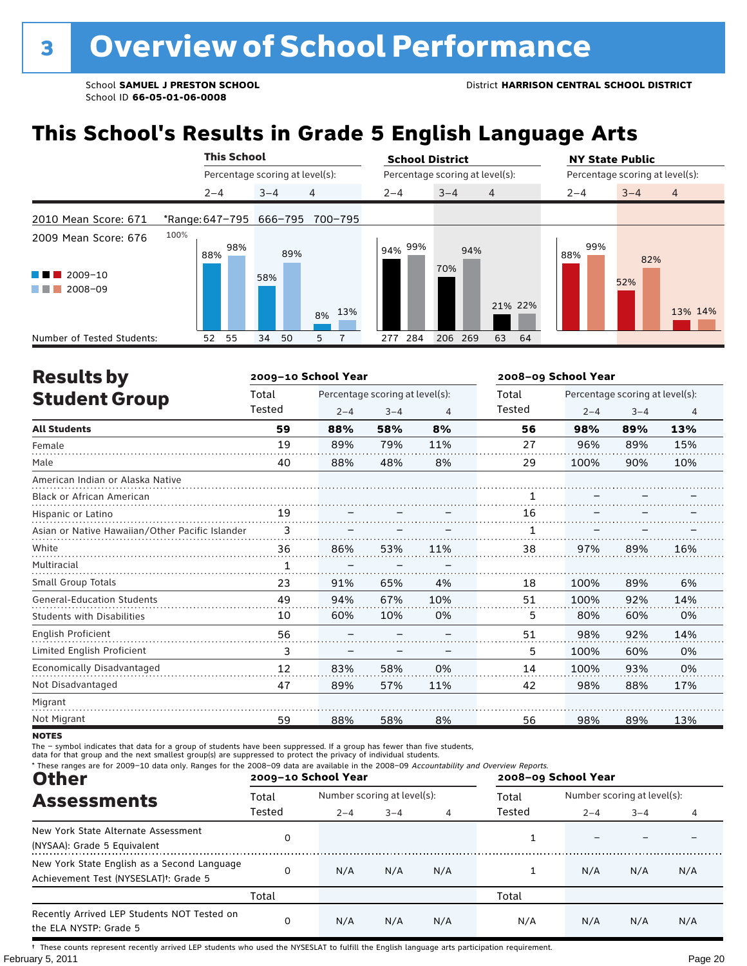## **This School's Results in Grade 5 English Language Arts**

|                            |                         | <b>This School</b> |                                 |         | <b>School District</b> |                                 |         | <b>NY State Public</b>          |                |  |  |
|----------------------------|-------------------------|--------------------|---------------------------------|---------|------------------------|---------------------------------|---------|---------------------------------|----------------|--|--|
|                            |                         |                    | Percentage scoring at level(s): |         |                        | Percentage scoring at level(s): |         | Percentage scoring at level(s): |                |  |  |
|                            | $2 - 4$                 |                    | $3 - 4$                         | 4       | $2 - 4$                | $3 - 4$<br>$\overline{4}$       | $2 - 4$ | $3 - 4$                         | $\overline{4}$ |  |  |
| 2010 Mean Score: 671       | *Range: 647-795 666-795 |                    |                                 | 700-795 |                        |                                 |         |                                 |                |  |  |
| 2009 Mean Score: 676       | 100%<br>88%             | 98%                | 89%                             |         | l 94% <sup>99%</sup> ⊧ | 94%                             | 88%     | 99%<br>82%                      |                |  |  |
| 2009-10<br>2008-09         |                         |                    | 58%                             | 8% 13%  |                        | 70%                             | 21% 22% | 52%                             | 13% 14%        |  |  |
| Number of Tested Students: | 52                      | 55                 | 34<br>50                        | 5       | 284<br>277             | 206 269<br>63                   | 64      |                                 |                |  |  |

| <b>Results by</b>                               |        | 2009-10 School Year |                                 |     | 2008-09 School Year |         |                                 |                |  |
|-------------------------------------------------|--------|---------------------|---------------------------------|-----|---------------------|---------|---------------------------------|----------------|--|
| <b>Student Group</b>                            | Total  |                     | Percentage scoring at level(s): |     | Total               |         | Percentage scoring at level(s): |                |  |
|                                                 | Tested | $2 - 4$             | $3 - 4$                         | 4   | Tested              | $2 - 4$ | $3 - 4$                         | $\overline{4}$ |  |
| <b>All Students</b>                             | 59     | 88%                 | 58%                             | 8%  | 56                  | 98%     | 89%                             | 13%            |  |
| Female                                          | 19     | 89%                 | 79%                             | 11% | 27                  | 96%     | 89%                             | 15%            |  |
| Male                                            | 40     | 88%                 | 48%                             | 8%  | 29                  | 100%    | 90%                             | 10%            |  |
| American Indian or Alaska Native                |        |                     |                                 |     |                     |         |                                 |                |  |
| <b>Black or African American</b>                |        |                     |                                 |     |                     |         |                                 |                |  |
| Hispanic or Latino                              | 19     |                     |                                 |     | 16                  |         |                                 |                |  |
| Asian or Native Hawaiian/Other Pacific Islander | 3      |                     |                                 |     |                     |         |                                 |                |  |
| White                                           | 36     | 86%                 | 53%                             | 11% | 38                  | 97%     | 89%                             | 16%            |  |
| Multiracial                                     | 1      |                     |                                 |     |                     |         |                                 |                |  |
| <b>Small Group Totals</b>                       | 23     | 91%                 | 65%                             | 4%  | 18                  | 100%    | 89%                             | 6%             |  |
| <b>General-Education Students</b>               | 49     | 94%                 | 67%                             | 10% | 51                  | 100%    | 92%                             | 14%            |  |
| <b>Students with Disabilities</b>               | 10     | 60%                 | 10%                             | 0%  | 5                   | 80%     | 60%                             | 0%             |  |
| English Proficient                              | 56     |                     |                                 |     | 51                  | 98%     | 92%                             | 14%            |  |
| Limited English Proficient                      | 3      |                     |                                 |     | 5                   | 100%    | 60%                             | 0%             |  |
| Economically Disadvantaged                      | 12     | 83%                 | 58%                             | 0%  | 14                  | 100%    | 93%                             | 0%             |  |
| Not Disadvantaged                               | 47     | 89%                 | 57%                             | 11% | 42                  | 98%     | 88%                             | 17%            |  |
| Migrant                                         |        |                     |                                 |     |                     |         |                                 |                |  |
| Not Migrant                                     | 59     | 88%                 | 58%                             | 8%  | 56                  | 98%     | 89%                             | 13%            |  |

**NOTES** 

The – symbol indicates that data for a group of students have been suppressed. If a group has fewer than five students,<br>data for that group and the next smallest group(s) are suppressed to protect the privacy of individual

| * These ranges are for 2009-10 data only. Ranges for the 2008-09 data are available in the 2008-09 Accountability and Overview Reports.<br><b>Other</b> |        | 2009-10 School Year         |         |     | 2008-09 School Year |                             |         |     |  |
|---------------------------------------------------------------------------------------------------------------------------------------------------------|--------|-----------------------------|---------|-----|---------------------|-----------------------------|---------|-----|--|
| <b>Assessments</b>                                                                                                                                      | Total  | Number scoring at level(s): |         |     | Total               | Number scoring at level(s): |         |     |  |
|                                                                                                                                                         | Tested | $2 - 4$                     | $3 - 4$ | 4   | Tested              | $2 - 4$                     | $3 - 4$ | 4   |  |
| New York State Alternate Assessment<br>(NYSAA): Grade 5 Equivalent                                                                                      | 0      |                             |         |     |                     |                             |         |     |  |
| New York State English as a Second Language<br>Achievement Test (NYSESLAT) <sup>+</sup> : Grade 5                                                       | 0      | N/A                         | N/A     | N/A |                     | N/A                         | N/A     | N/A |  |
|                                                                                                                                                         | Total  |                             |         |     | Total               |                             |         |     |  |
| Recently Arrived LEP Students NOT Tested on<br>the ELA NYSTP: Grade 5                                                                                   | 0      | N/A                         | N/A     | N/A | N/A                 | N/A                         | N/A     | N/A |  |

February 5, 2011 **Page 20** † These counts represent recently arrived LEP students who used the NYSESLAT to fulfill the English language arts participation requirement.